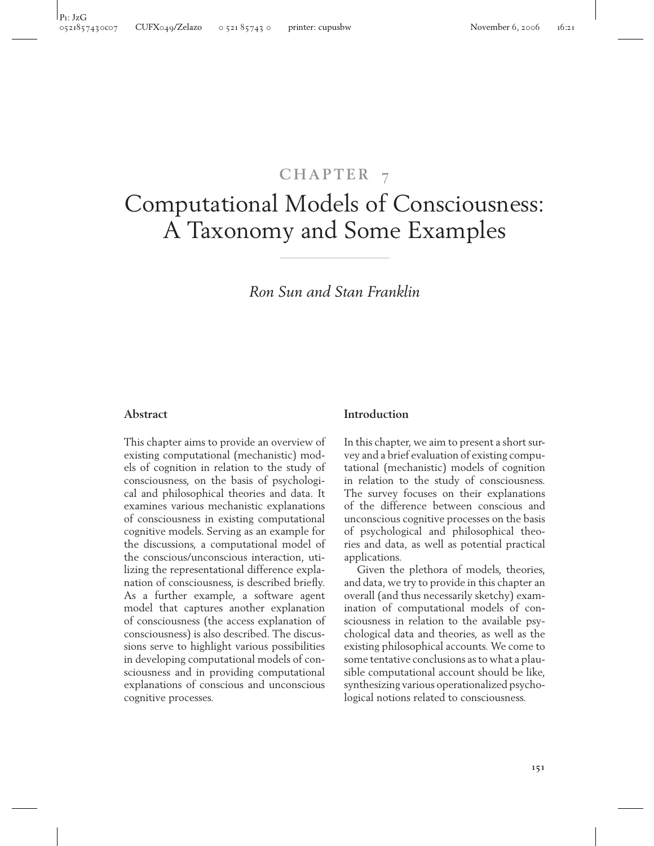# **CHAPTER 7**

# Computational Models of Consciousness: A Taxonomy and Some Examples

## *Ron Sun and Stan Franklin*

#### **Abstract**

This chapter aims to provide an overview of existing computational (mechanistic) models of cognition in relation to the study of consciousness, on the basis of psychological and philosophical theories and data. It examines various mechanistic explanations of consciousness in existing computational cognitive models. Serving as an example for the discussions, a computational model of the conscious/unconscious interaction, utilizing the representational difference explanation of consciousness, is described briefly. As a further example, a software agent model that captures another explanation of consciousness (the access explanation of consciousness) is also described. The discussions serve to highlight various possibilities in developing computational models of consciousness and in providing computational explanations of conscious and unconscious cognitive processes.

#### **Introduction**

In this chapter, we aim to present a short survey and a brief evaluation of existing computational (mechanistic) models of cognition in relation to the study of consciousness. The survey focuses on their explanations of the difference between conscious and unconscious cognitive processes on the basis of psychological and philosophical theories and data, as well as potential practical applications.

Given the plethora of models, theories, and data, we try to provide in this chapter an overall (and thus necessarily sketchy) examination of computational models of consciousness in relation to the available psychological data and theories, as well as the existing philosophical accounts. We come to some tentative conclusions as to what a plausible computational account should be like, synthesizing various operationalized psychological notions related to consciousness.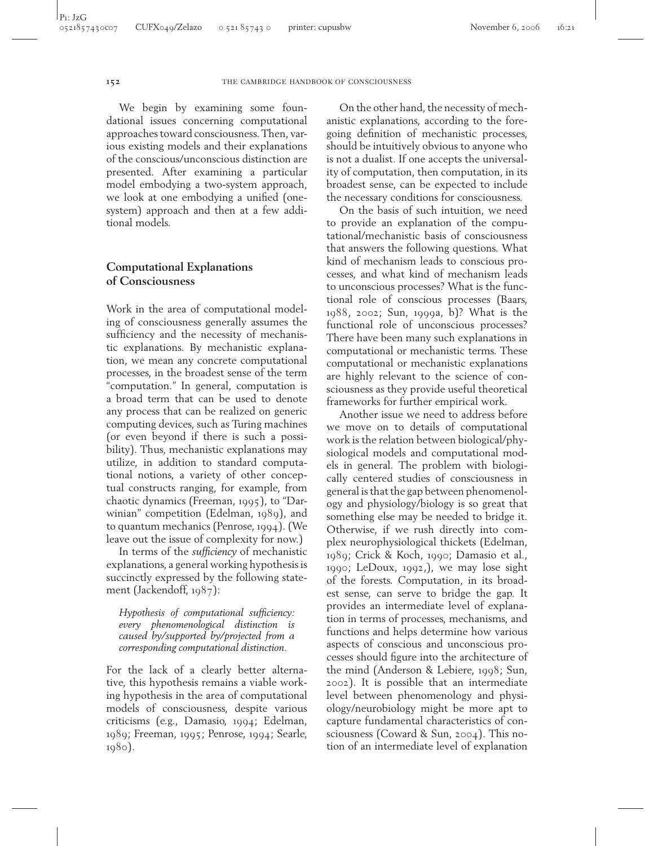We begin by examining some foundational issues concerning computational approaches toward consciousness. Then, various existing models and their explanations of the conscious/unconscious distinction are presented. After examining a particular model embodying a two-system approach, we look at one embodying a unified (onesystem) approach and then at a few additional models.

#### **Computational Explanations of Consciousness**

Work in the area of computational modeling of consciousness generally assumes the sufficiency and the necessity of mechanistic explanations. By mechanistic explanation, we mean any concrete computational processes, in the broadest sense of the term "computation." In general, computation is a broad term that can be used to denote any process that can be realized on generic computing devices, such as Turing machines (or even beyond if there is such a possibility). Thus, mechanistic explanations may utilize, in addition to standard computational notions, a variety of other conceptual constructs ranging, for example, from chaotic dynamics (Freeman, 1995 ), to "Darwinian" competition (Edelman, 1989), and to quantum mechanics (Penrose, 1994). (We leave out the issue of complexity for now.)

In terms of the *sufficiency* of mechanistic explanations, a general working hypothesis is succinctly expressed by the following statement (Jackendoff, 1987):

*Hypothesis of computational sufficiency: every phenomenological distinction is caused by/supported by/projected from a corresponding computational distinction.*

For the lack of a clearly better alternative, this hypothesis remains a viable working hypothesis in the area of computational models of consciousness, despite various criticisms (e.g., Damasio, 1994; Edelman, 1989; Freeman, 1995 ; Penrose, 1994; Searle, 1980).

On the other hand, the necessity of mechanistic explanations, according to the foregoing definition of mechanistic processes, should be intuitively obvious to anyone who is not a dualist. If one accepts the universality of computation, then computation, in its broadest sense, can be expected to include the necessary conditions for consciousness.

On the basis of such intuition, we need to provide an explanation of the computational/mechanistic basis of consciousness that answers the following questions. What kind of mechanism leads to conscious processes, and what kind of mechanism leads to unconscious processes? What is the functional role of conscious processes (Baars, 1988, 2002; Sun, 1999a, b)? What is the functional role of unconscious processes? There have been many such explanations in computational or mechanistic terms. These computational or mechanistic explanations are highly relevant to the science of consciousness as they provide useful theoretical frameworks for further empirical work.

Another issue we need to address before we move on to details of computational work is the relation between biological/physiological models and computational models in general. The problem with biologically centered studies of consciousness in general is that the gap between phenomenology and physiology/biology is so great that something else may be needed to bridge it. Otherwise, if we rush directly into complex neurophysiological thickets (Edelman, 1989; Crick & Koch, 1990; Damasio et al., 1990; LeDoux, 1992,), we may lose sight of the forests. Computation, in its broadest sense, can serve to bridge the gap. It provides an intermediate level of explanation in terms of processes, mechanisms, and functions and helps determine how various aspects of conscious and unconscious processes should figure into the architecture of the mind (Anderson & Lebiere, 1998; Sun, 2002). It is possible that an intermediate level between phenomenology and physiology/neurobiology might be more apt to capture fundamental characteristics of consciousness (Coward & Sun, 2004). This notion of an intermediate level of explanation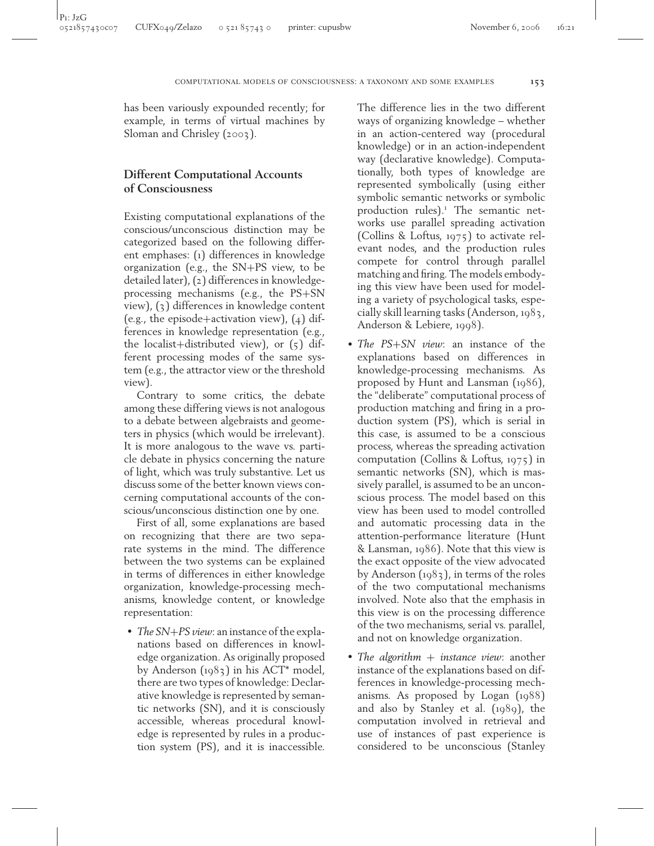has been variously expounded recently; for example, in terms of virtual machines by Sloman and Chrisley (2003).

#### **Different Computational Accounts of Consciousness**

Existing computational explanations of the conscious/unconscious distinction may be categorized based on the following different emphases: (1) differences in knowledge organization (e.g., the SN+PS view, to be detailed later), (2) differences in knowledgeprocessing mechanisms (e.g., the PS+SN view), (3 ) differences in knowledge content (e.g., the episode+activation view), (4) differences in knowledge representation (e.g., the localist+distributed view), or  $(5)$  different processing modes of the same system (e.g., the attractor view or the threshold view).

Contrary to some critics, the debate among these differing views is not analogous to a debate between algebraists and geometers in physics (which would be irrelevant). It is more analogous to the wave vs. particle debate in physics concerning the nature of light, which was truly substantive. Let us discuss some of the better known views concerning computational accounts of the conscious/unconscious distinction one by one.

First of all, some explanations are based on recognizing that there are two separate systems in the mind. The difference between the two systems can be explained in terms of differences in either knowledge organization, knowledge-processing mechanisms, knowledge content, or knowledge representation:

- *The SN*+*PS view*: an instance of the explanations based on differences in knowledge organization. As originally proposed by Anderson  $(1983)$  in his ACT\* model, there are two types of knowledge: Declarative knowledge is represented by semantic networks (SN), and it is consciously accessible, whereas procedural knowledge is represented by rules in a production system (PS), and it is inaccessible.

The difference lies in the two different ways of organizing knowledge – whether in an action-centered way (procedural knowledge) or in an action-independent way (declarative knowledge). Computationally, both types of knowledge are represented symbolically (using either symbolic semantic networks or symbolic production rules). $<sup>1</sup>$  The semantic net-</sup> works use parallel spreading activation (Collins & Loftus,  $1975$ ) to activate relevant nodes, and the production rules compete for control through parallel matching and firing. The models embodying this view have been used for modeling a variety of psychological tasks, especially skill learning tasks (Anderson, 1983 , Anderson & Lebiere, 1998).

- *The PS*+*SN view*: an instance of the explanations based on differences in knowledge-processing mechanisms. As proposed by Hunt and Lansman (1986), the "deliberate" computational process of production matching and firing in a production system (PS), which is serial in this case, is assumed to be a conscious process, whereas the spreading activation computation (Collins & Loftus,  $1975$ ) in semantic networks (SN), which is massively parallel, is assumed to be an unconscious process. The model based on this view has been used to model controlled and automatic processing data in the attention-performance literature (Hunt & Lansman, 1986). Note that this view is the exact opposite of the view advocated by Anderson (1983 ), in terms of the roles of the two computational mechanisms involved. Note also that the emphasis in this view is on the processing difference of the two mechanisms, serial vs. parallel, and not on knowledge organization.
- *The algorithm* + *instance view*: another instance of the explanations based on differences in knowledge-processing mechanisms. As proposed by Logan (1988) and also by Stanley et al. (1989), the computation involved in retrieval and use of instances of past experience is considered to be unconscious (Stanley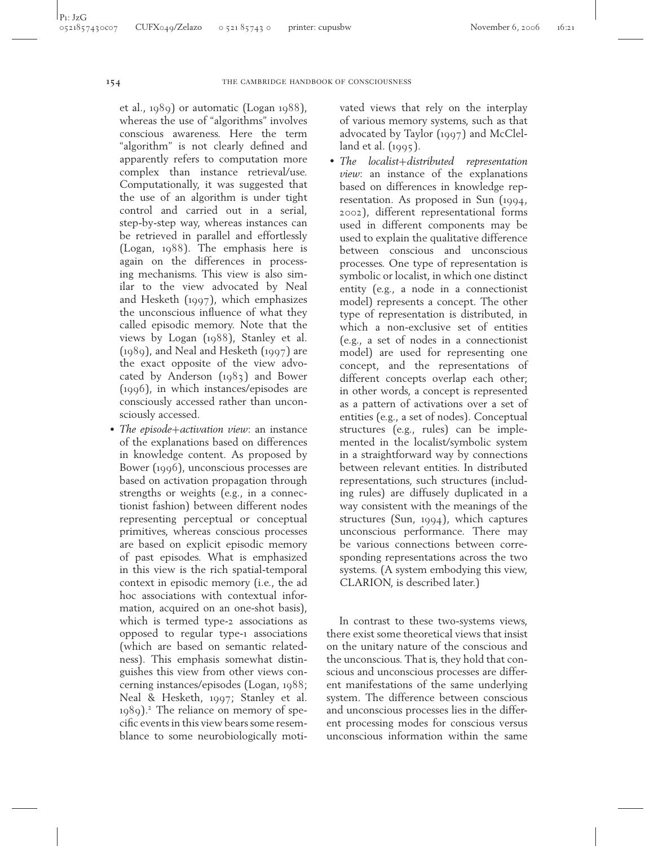et al., 1989) or automatic (Logan 1988), whereas the use of "algorithms" involves conscious awareness. Here the term "algorithm" is not clearly defined and apparently refers to computation more complex than instance retrieval/use. Computationally, it was suggested that the use of an algorithm is under tight control and carried out in a serial, step-by-step way, whereas instances can be retrieved in parallel and effortlessly (Logan, 1988). The emphasis here is again on the differences in processing mechanisms. This view is also similar to the view advocated by Neal and Hesketh (1997), which emphasizes the unconscious influence of what they called episodic memory. Note that the views by Logan (1988), Stanley et al. (1989), and Neal and Hesketh (1997) are the exact opposite of the view advocated by Anderson (1983 ) and Bower (1996), in which instances/episodes are consciously accessed rather than unconsciously accessed.

- *The episode*+*activation view*: an instance of the explanations based on differences in knowledge content. As proposed by Bower (1996), unconscious processes are based on activation propagation through strengths or weights (e.g., in a connectionist fashion) between different nodes representing perceptual or conceptual primitives, whereas conscious processes are based on explicit episodic memory of past episodes. What is emphasized in this view is the rich spatial-temporal context in episodic memory (i.e., the ad hoc associations with contextual information, acquired on an one-shot basis), which is termed type-2 associations as opposed to regular type-1 associations (which are based on semantic relatedness). This emphasis somewhat distinguishes this view from other views concerning instances/episodes (Logan, 1988; Neal & Hesketh, 1997; Stanley et al. 1989).<sup>2</sup> The reliance on memory of specific events in this view bears some resemblance to some neurobiologically motivated views that rely on the interplay of various memory systems, such as that advocated by Taylor (1997) and McClelland et al. (1995 ).

- *The localist*+*distributed representation view*: an instance of the explanations based on differences in knowledge representation. As proposed in Sun (1994, 2002), different representational forms used in different components may be used to explain the qualitative difference between conscious and unconscious processes. One type of representation is symbolic or localist, in which one distinct entity (e.g., a node in a connectionist model) represents a concept. The other type of representation is distributed, in which a non-exclusive set of entities (e.g., a set of nodes in a connectionist model) are used for representing one concept, and the representations of different concepts overlap each other; in other words, a concept is represented as a pattern of activations over a set of entities (e.g., a set of nodes). Conceptual structures (e.g., rules) can be implemented in the localist/symbolic system in a straightforward way by connections between relevant entities. In distributed representations, such structures (including rules) are diffusely duplicated in a way consistent with the meanings of the structures (Sun, 1994), which captures unconscious performance. There may be various connections between corresponding representations across the two systems. (A system embodying this view, CLARION, is described later.)

In contrast to these two-systems views, there exist some theoretical views that insist on the unitary nature of the conscious and the unconscious. That is, they hold that conscious and unconscious processes are different manifestations of the same underlying system. The difference between conscious and unconscious processes lies in the different processing modes for conscious versus unconscious information within the same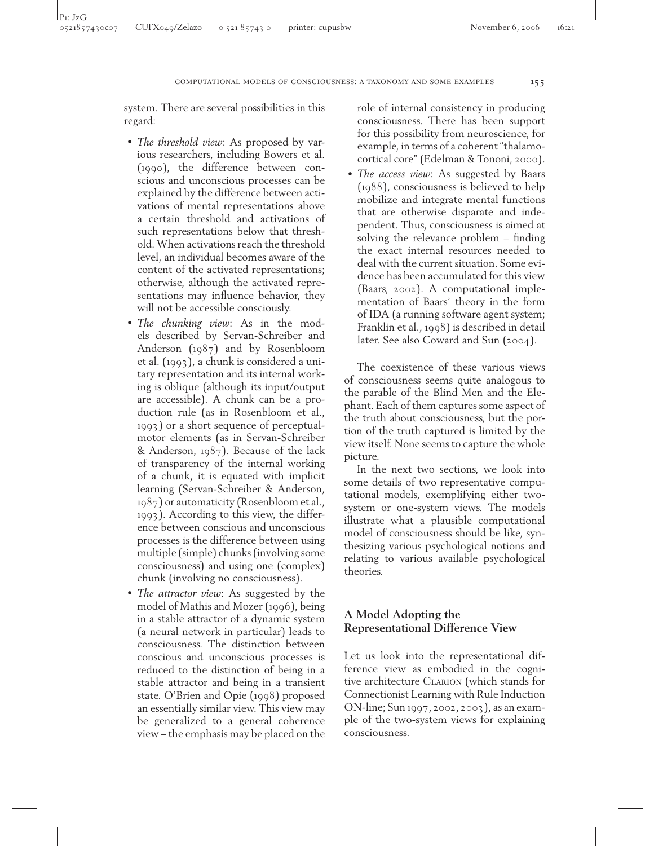system. There are several possibilities in this regard:

- *The threshold view*: As proposed by various researchers, including Bowers et al. (1990), the difference between conscious and unconscious processes can be explained by the difference between activations of mental representations above a certain threshold and activations of such representations below that threshold. When activations reach the threshold level, an individual becomes aware of the content of the activated representations; otherwise, although the activated representations may influence behavior, they will not be accessible consciously.
- *The chunking view*: As in the models described by Servan-Schreiber and Anderson (1987) and by Rosenbloom et al. (1993 ), a chunk is considered a unitary representation and its internal working is oblique (although its input/output are accessible). A chunk can be a production rule (as in Rosenbloom et al., 1993 ) or a short sequence of perceptualmotor elements (as in Servan-Schreiber & Anderson, 1987). Because of the lack of transparency of the internal working of a chunk, it is equated with implicit learning (Servan-Schreiber & Anderson, 1987) or automaticity (Rosenbloom et al., 1993 ). According to this view, the difference between conscious and unconscious processes is the difference between using multiple (simple) chunks (involving some consciousness) and using one (complex) chunk (involving no consciousness).
- *The attractor view*: As suggested by the model of Mathis and Mozer (1996), being in a stable attractor of a dynamic system (a neural network in particular) leads to consciousness. The distinction between conscious and unconscious processes is reduced to the distinction of being in a stable attractor and being in a transient state. O'Brien and Opie (1998) proposed an essentially similar view. This view may be generalized to a general coherence view – the emphasis may be placed on the

role of internal consistency in producing consciousness. There has been support for this possibility from neuroscience, for example, in terms of a coherent "thalamocortical core" (Edelman & Tononi, 2000).

- *The access view*: As suggested by Baars (1988), consciousness is believed to help mobilize and integrate mental functions that are otherwise disparate and independent. Thus, consciousness is aimed at solving the relevance problem – finding the exact internal resources needed to deal with the current situation. Some evidence has been accumulated for this view (Baars, 2002). A computational implementation of Baars' theory in the form of IDA (a running software agent system; Franklin et al., 1998) is described in detail later. See also Coward and Sun (2004).

The coexistence of these various views of consciousness seems quite analogous to the parable of the Blind Men and the Elephant. Each of them captures some aspect of the truth about consciousness, but the portion of the truth captured is limited by the view itself. None seems to capture the whole picture.

In the next two sections, we look into some details of two representative computational models, exemplifying either twosystem or one-system views. The models illustrate what a plausible computational model of consciousness should be like, synthesizing various psychological notions and relating to various available psychological theories.

### **A Model Adopting the Representational Difference View**

Let us look into the representational difference view as embodied in the cognitive architecture Clarion (which stands for Connectionist Learning with Rule Induction ON-line; Sun 1997, 2002, 2003 ), as an example of the two-system views for explaining consciousness.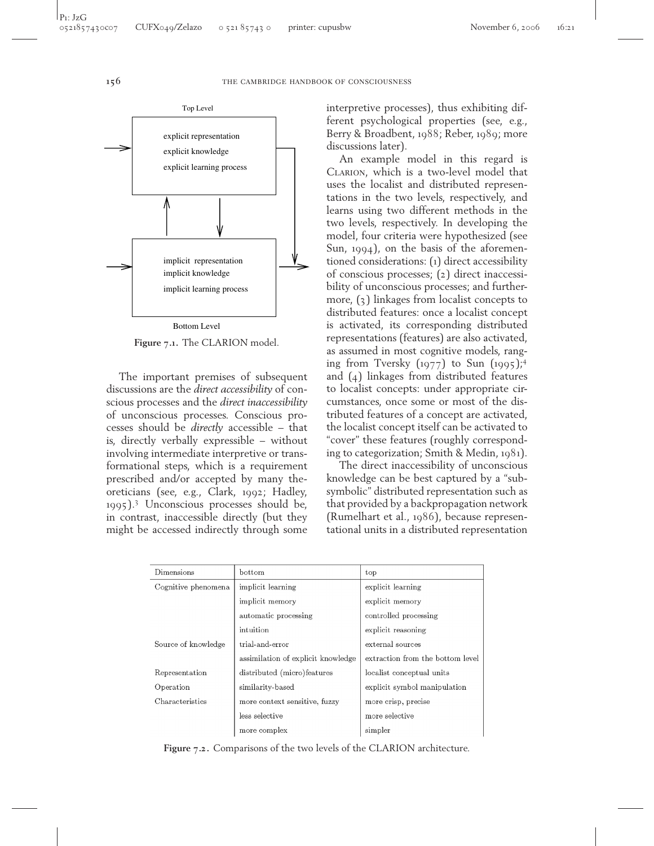

**Figure 7.1.** The CLARION model.

The important premises of subsequent discussions are the *direct accessibility* of conscious processes and the *direct inaccessibility* of unconscious processes. Conscious processes should be *directly* accessible – that is, directly verbally expressible – without involving intermediate interpretive or transformational steps, which is a requirement prescribed and/or accepted by many theoreticians (see, e.g., Clark, 1992; Hadley, 1995 ).<sup>3</sup> Unconscious processes should be, in contrast, inaccessible directly (but they might be accessed indirectly through some

interpretive processes), thus exhibiting different psychological properties (see, e.g., Berry & Broadbent, 1988; Reber, 1989; more discussions later).

An example model in this regard is Clarion, which is a two-level model that uses the localist and distributed representations in the two levels, respectively, and learns using two different methods in the two levels, respectively. In developing the model, four criteria were hypothesized (see Sun, 1994), on the basis of the aforementioned considerations: (1) direct accessibility of conscious processes; (2) direct inaccessibility of unconscious processes; and furthermore, (3 ) linkages from localist concepts to distributed features: once a localist concept is activated, its corresponding distributed representations (features) are also activated, as assumed in most cognitive models, ranging from Tversky  $(1977)$  to Sun  $(1995)$ ;<sup>4</sup> and (4) linkages from distributed features to localist concepts: under appropriate circumstances, once some or most of the distributed features of a concept are activated, the localist concept itself can be activated to "cover" these features (roughly corresponding to categorization; Smith & Medin, 1981).

The direct inaccessibility of unconscious knowledge can be best captured by a "subsymbolic" distributed representation such as that provided by a backpropagation network (Rumelhart et al., 1986), because representational units in a distributed representation

| Dimensions          | $_{\text{bottom}}$                 | top                              |
|---------------------|------------------------------------|----------------------------------|
| Cognitive phenomena | implicit learning                  | explicit learning                |
|                     | implicit memory                    | explicit memory                  |
|                     | automatic processing               | controlled processing            |
|                     | intuition                          | explicit reasoning               |
| Source of knowledge | trial-and-error                    | external sources                 |
|                     | assimilation of explicit knowledge | extraction from the bottom level |
| Representation      | distributed (micro) features       | localist conceptual units        |
| Operation           | similarity-based                   | explicit symbol manipulation     |
| Characteristics     | more context sensitive, fuzzy      | more crisp, precise              |
|                     | less selective                     | more selective                   |
|                     | more complex                       | simpler                          |

**Figure 7.2 .** Comparisons of the two levels of the CLARION architecture.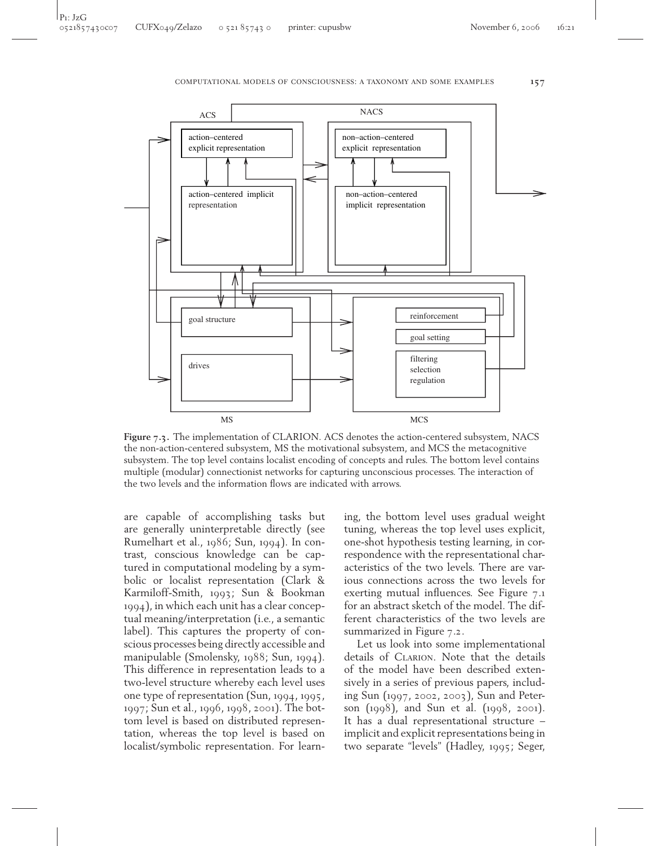

**Figure 7.3.** The implementation of CLARION. ACS denotes the action-centered subsystem, NACS the non-action-centered subsystem, MS the motivational subsystem, and MCS the metacognitive subsystem. The top level contains localist encoding of concepts and rules. The bottom level contains multiple (modular) connectionist networks for capturing unconscious processes. The interaction of the two levels and the information flows are indicated with arrows.

are capable of accomplishing tasks but are generally uninterpretable directly (see Rumelhart et al., 1986; Sun, 1994). In contrast, conscious knowledge can be captured in computational modeling by a symbolic or localist representation (Clark & Karmiloff-Smith, 1993; Sun & Bookman 1994), in which each unit has a clear conceptual meaning/interpretation (i.e., a semantic label). This captures the property of conscious processes being directly accessible and manipulable (Smolensky, 1988; Sun, 1994). This difference in representation leads to a two-level structure whereby each level uses one type of representation (Sun, 1994, 1995 , 1997; Sun et al., 1996, 1998, 2001). The bottom level is based on distributed representation, whereas the top level is based on localist/symbolic representation. For learning, the bottom level uses gradual weight tuning, whereas the top level uses explicit, one-shot hypothesis testing learning, in correspondence with the representational characteristics of the two levels. There are various connections across the two levels for exerting mutual influences. See Figure 7.1 for an abstract sketch of the model. The different characteristics of the two levels are summarized in Figure 7.2.

Let us look into some implementational details of Clarion. Note that the details of the model have been described extensively in a series of previous papers, including Sun (1997, 2002, 2003 ), Sun and Peterson (1998), and Sun et al. (1998, 2001). It has a dual representational structure – implicit and explicit representations being in two separate "levels" (Hadley, 1995; Seger,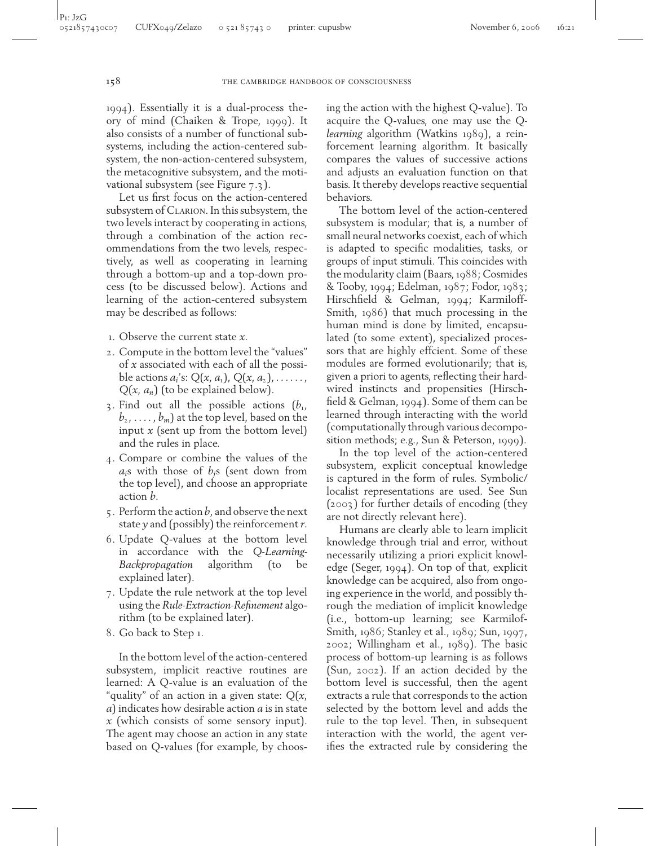1994). Essentially it is a dual-process theory of mind (Chaiken & Trope, 1999). It also consists of a number of functional subsystems, including the action-centered subsystem, the non-action-centered subsystem, the metacognitive subsystem, and the motivational subsystem (see Figure 7.3 ).

Let us first focus on the action-centered subsystem of Clarion. In this subsystem, the two levels interact by cooperating in actions, through a combination of the action recommendations from the two levels, respectively, as well as cooperating in learning through a bottom-up and a top-down process (to be discussed below). Actions and learning of the action-centered subsystem may be described as follows:

- 1. Observe the current state *x*.
- 2. Compute in the bottom level the "values" of *x* associated with each of all the possible actions  $a_i$ 's:  $Q(x, a_1)$ ,  $Q(x, a_2)$ , ...... *Q*(*x, an*) (to be explained below).
- 3. Find out all the possible actions  $(b_1, b_2)$  $b_2, \ldots, b_m$  at the top level, based on the input *x* (sent up from the bottom level) and the rules in place.
- 4. Compare or combine the values of the *ai*s with those of *bj*s (sent down from the top level), and choose an appropriate action *b*.
- 5 . Perform the action *b*, and observe the next state *y* and (possibly) the reinforcement *r*.
- 6. Update Q-values at the bottom level in accordance with the *Q-Learning-Backpropagation* algorithm (to be explained later).
- 7. Update the rule network at the top level using the *Rule-Extraction-Refinement* algorithm (to be explained later).
- 8. Go back to Step 1.

In the bottom level of the action-centered subsystem, implicit reactive routines are learned: A Q-value is an evaluation of the "quality" of an action in a given state: *Q*(*x, a*) indicates how desirable action *a* is in state *x* (which consists of some sensory input). The agent may choose an action in any state based on Q-values (for example, by choos-

ing the action with the highest Q-value). To acquire the Q-values, one may use the *Qlearning* algorithm (Watkins 1989), a reinforcement learning algorithm. It basically compares the values of successive actions and adjusts an evaluation function on that basis. It thereby develops reactive sequential behaviors.

The bottom level of the action-centered subsystem is modular; that is, a number of small neural networks coexist, each of which is adapted to specific modalities, tasks, or groups of input stimuli. This coincides with the modularity claim (Baars, 1988; Cosmides & Tooby, 1994; Edelman, 1987; Fodor, 1983 ; Hirschfield & Gelman, 1994; Karmiloff-Smith, 1986) that much processing in the human mind is done by limited, encapsulated (to some extent), specialized processors that are highly effcient. Some of these modules are formed evolutionarily; that is, given a priori to agents, reflecting their hardwired instincts and propensities (Hirschfield & Gelman, 1994). Some of them can be learned through interacting with the world (computationally through various decomposition methods; e.g., Sun & Peterson, 1999).

In the top level of the action-centered subsystem, explicit conceptual knowledge is captured in the form of rules. Symbolic/ localist representations are used. See Sun (2003 ) for further details of encoding (they are not directly relevant here).

Humans are clearly able to learn implicit knowledge through trial and error, without necessarily utilizing a priori explicit knowledge (Seger, 1994). On top of that, explicit knowledge can be acquired, also from ongoing experience in the world, and possibly through the mediation of implicit knowledge (i.e., bottom-up learning; see Karmilof-Smith, 1986; Stanley et al., 1989; Sun, 1997, 2002; Willingham et al., 1989). The basic process of bottom-up learning is as follows (Sun, 2002). If an action decided by the bottom level is successful, then the agent extracts a rule that corresponds to the action selected by the bottom level and adds the rule to the top level. Then, in subsequent interaction with the world, the agent verifies the extracted rule by considering the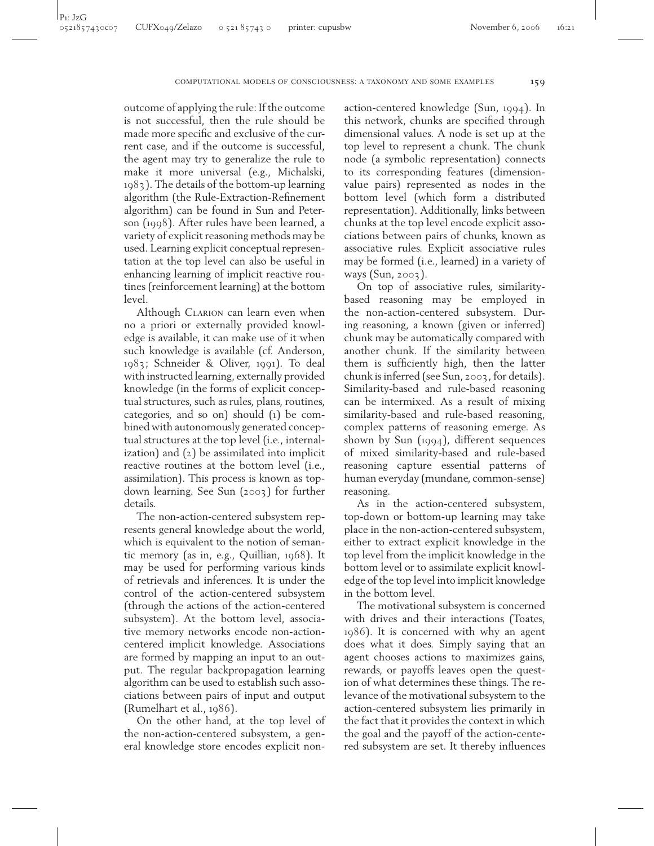outcome of applying the rule: If the outcome is not successful, then the rule should be made more specific and exclusive of the current case, and if the outcome is successful, the agent may try to generalize the rule to make it more universal (e.g., Michalski, 1983 ). The details of the bottom-up learning algorithm (the Rule-Extraction-Refinement algorithm) can be found in Sun and Peterson (1998). After rules have been learned, a variety of explicit reasoning methods may be used. Learning explicit conceptual representation at the top level can also be useful in enhancing learning of implicit reactive routines (reinforcement learning) at the bottom level.

Although CLARION can learn even when no a priori or externally provided knowledge is available, it can make use of it when such knowledge is available (cf. Anderson, 1983 ; Schneider & Oliver, 1991). To deal with instructed learning, externally provided knowledge (in the forms of explicit conceptual structures, such as rules, plans, routines, categories, and so on) should (1) be combined with autonomously generated conceptual structures at the top level (i.e., internalization) and (2) be assimilated into implicit reactive routines at the bottom level (i.e., assimilation). This process is known as topdown learning. See Sun (2003 ) for further details.

The non-action-centered subsystem represents general knowledge about the world, which is equivalent to the notion of semantic memory (as in, e.g., Quillian, 1968). It may be used for performing various kinds of retrievals and inferences. It is under the control of the action-centered subsystem (through the actions of the action-centered subsystem). At the bottom level, associative memory networks encode non-actioncentered implicit knowledge. Associations are formed by mapping an input to an output. The regular backpropagation learning algorithm can be used to establish such associations between pairs of input and output (Rumelhart et al., 1986).

On the other hand, at the top level of the non-action-centered subsystem, a general knowledge store encodes explicit nonaction-centered knowledge (Sun, 1994). In this network, chunks are specified through dimensional values. A node is set up at the top level to represent a chunk. The chunk node (a symbolic representation) connects to its corresponding features (dimensionvalue pairs) represented as nodes in the bottom level (which form a distributed representation). Additionally, links between chunks at the top level encode explicit associations between pairs of chunks, known as associative rules. Explicit associative rules may be formed (i.e., learned) in a variety of ways (Sun, 2003 ).

On top of associative rules, similaritybased reasoning may be employed in the non-action-centered subsystem. During reasoning, a known (given or inferred) chunk may be automatically compared with another chunk. If the similarity between them is sufficiently high, then the latter chunk is inferred (see Sun, 2003 , for details). Similarity-based and rule-based reasoning can be intermixed. As a result of mixing similarity-based and rule-based reasoning, complex patterns of reasoning emerge. As shown by Sun (1994), different sequences of mixed similarity-based and rule-based reasoning capture essential patterns of human everyday (mundane, common-sense) reasoning.

As in the action-centered subsystem, top-down or bottom-up learning may take place in the non-action-centered subsystem, either to extract explicit knowledge in the top level from the implicit knowledge in the bottom level or to assimilate explicit knowledge of the top level into implicit knowledge in the bottom level.

The motivational subsystem is concerned with drives and their interactions (Toates, 1986). It is concerned with why an agent does what it does. Simply saying that an agent chooses actions to maximizes gains, rewards, or payoffs leaves open the question of what determines these things. The relevance of the motivational subsystem to the action-centered subsystem lies primarily in the fact that it provides the context in which the goal and the payoff of the action-centered subsystem are set. It thereby influences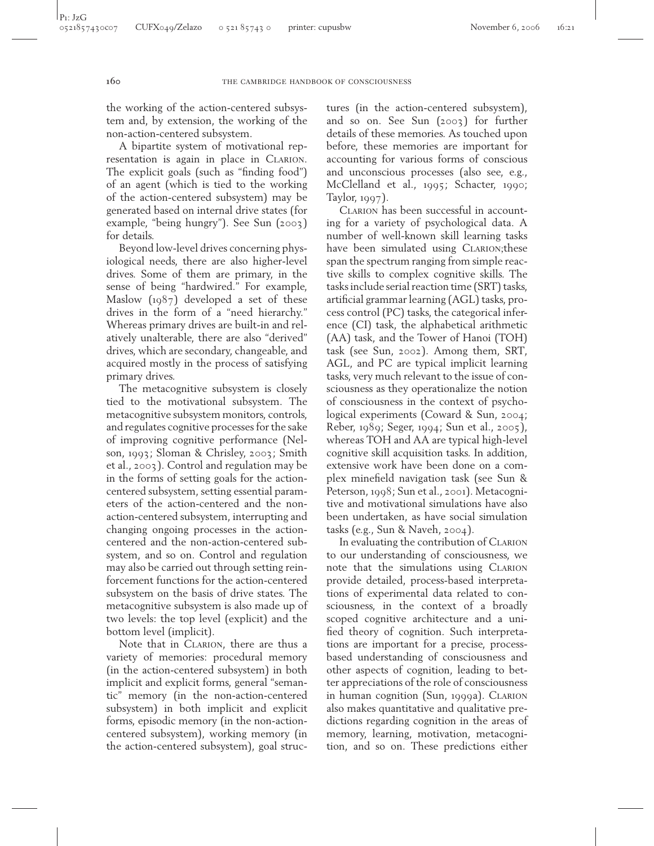the working of the action-centered subsystem and, by extension, the working of the non-action-centered subsystem.

A bipartite system of motivational representation is again in place in Clarion. The explicit goals (such as "finding food") of an agent (which is tied to the working of the action-centered subsystem) may be generated based on internal drive states (for example, "being hungry"). See Sun (2003 ) for details.

Beyond low-level drives concerning physiological needs, there are also higher-level drives. Some of them are primary, in the sense of being "hardwired." For example, Maslow (1987) developed a set of these drives in the form of a "need hierarchy." Whereas primary drives are built-in and relatively unalterable, there are also "derived" drives, which are secondary, changeable, and acquired mostly in the process of satisfying primary drives.

The metacognitive subsystem is closely tied to the motivational subsystem. The metacognitive subsystem monitors, controls, and regulates cognitive processes for the sake of improving cognitive performance (Nelson, 1993; Sloman & Chrisley, 2003; Smith et al., 2003 ). Control and regulation may be in the forms of setting goals for the actioncentered subsystem, setting essential parameters of the action-centered and the nonaction-centered subsystem, interrupting and changing ongoing processes in the actioncentered and the non-action-centered subsystem, and so on. Control and regulation may also be carried out through setting reinforcement functions for the action-centered subsystem on the basis of drive states. The metacognitive subsystem is also made up of two levels: the top level (explicit) and the bottom level (implicit).

Note that in Clarion, there are thus a variety of memories: procedural memory (in the action-centered subsystem) in both implicit and explicit forms, general "semantic" memory (in the non-action-centered subsystem) in both implicit and explicit forms, episodic memory (in the non-actioncentered subsystem), working memory (in the action-centered subsystem), goal struc-

tures (in the action-centered subsystem), and so on. See Sun (2003 ) for further details of these memories. As touched upon before, these memories are important for accounting for various forms of conscious and unconscious processes (also see, e.g., McClelland et al., 1995; Schacter, 1990; Taylor, 1997).

Clarion has been successful in accounting for a variety of psychological data. A number of well-known skill learning tasks have been simulated using CLARION; these span the spectrum ranging from simple reactive skills to complex cognitive skills. The tasks include serial reaction time (SRT) tasks, artificial grammar learning (AGL) tasks, process control (PC) tasks, the categorical inference (CI) task, the alphabetical arithmetic (AA) task, and the Tower of Hanoi (TOH) task (see Sun, 2002). Among them, SRT, AGL, and PC are typical implicit learning tasks, very much relevant to the issue of consciousness as they operationalize the notion of consciousness in the context of psychological experiments (Coward & Sun, 2004; Reber, 1989; Seger, 1994; Sun et al., 2005 ), whereas TOH and AA are typical high-level cognitive skill acquisition tasks. In addition, extensive work have been done on a complex minefield navigation task (see Sun & Peterson, 1998; Sun et al., 2001). Metacognitive and motivational simulations have also been undertaken, as have social simulation tasks (e.g., Sun & Naveh, 2004).

In evaluating the contribution of Clarion to our understanding of consciousness, we note that the simulations using Clarion provide detailed, process-based interpretations of experimental data related to consciousness, in the context of a broadly scoped cognitive architecture and a unified theory of cognition. Such interpretations are important for a precise, processbased understanding of consciousness and other aspects of cognition, leading to better appreciations of the role of consciousness in human cognition (Sun, 1999a). Clarion also makes quantitative and qualitative predictions regarding cognition in the areas of memory, learning, motivation, metacognition, and so on. These predictions either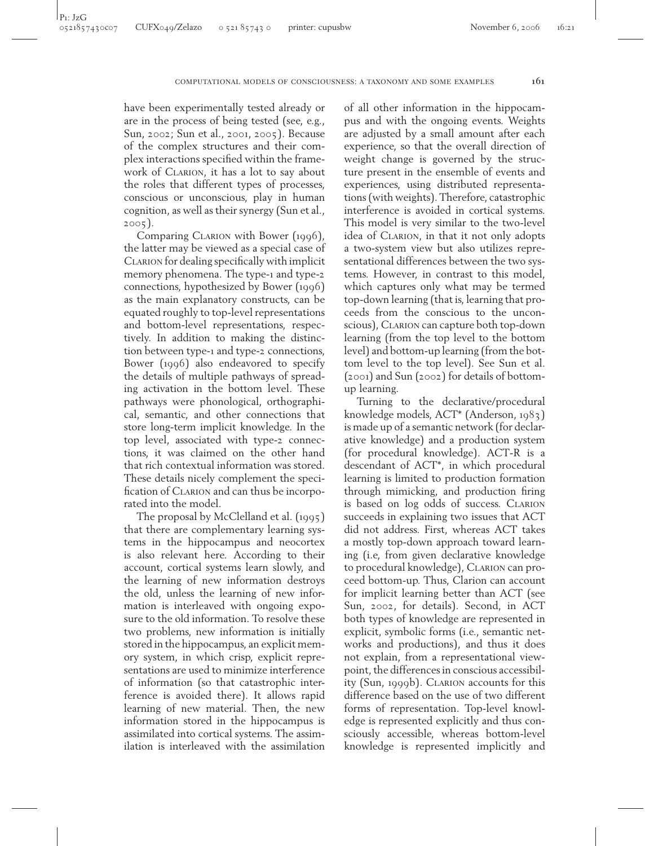have been experimentally tested already or are in the process of being tested (see, e.g., Sun, 2002; Sun et al., 2001, 2005 ). Because of the complex structures and their complex interactions specified within the framework of Clarion, it has a lot to say about the roles that different types of processes, conscious or unconscious, play in human cognition, as well as their synergy (Sun et al., 2005 ).

Comparing CLARION with Bower (1996), the latter may be viewed as a special case of Clarion for dealing specifically with implicit memory phenomena. The type-1 and type-2 connections, hypothesized by Bower (1996) as the main explanatory constructs, can be equated roughly to top-level representations and bottom-level representations, respectively. In addition to making the distinction between type-1 and type-2 connections, Bower (1996) also endeavored to specify the details of multiple pathways of spreading activation in the bottom level. These pathways were phonological, orthographical, semantic, and other connections that store long-term implicit knowledge. In the top level, associated with type-2 connections, it was claimed on the other hand that rich contextual information was stored. These details nicely complement the specification of Clarion and can thus be incorporated into the model.

The proposal by McClelland et al. (1995 ) that there are complementary learning systems in the hippocampus and neocortex is also relevant here. According to their account, cortical systems learn slowly, and the learning of new information destroys the old, unless the learning of new information is interleaved with ongoing exposure to the old information. To resolve these two problems, new information is initially stored in the hippocampus, an explicit memory system, in which crisp, explicit representations are used to minimize interference of information (so that catastrophic interference is avoided there). It allows rapid learning of new material. Then, the new information stored in the hippocampus is assimilated into cortical systems. The assimilation is interleaved with the assimilation

of all other information in the hippocampus and with the ongoing events. Weights are adjusted by a small amount after each experience, so that the overall direction of weight change is governed by the structure present in the ensemble of events and experiences, using distributed representations (with weights). Therefore, catastrophic interference is avoided in cortical systems. This model is very similar to the two-level idea of Clarion, in that it not only adopts a two-system view but also utilizes representational differences between the two systems. However, in contrast to this model, which captures only what may be termed top-down learning (that is, learning that proceeds from the conscious to the unconscious), Clarion can capture both top-down learning (from the top level to the bottom level) and bottom-up learning (from the bottom level to the top level). See Sun et al. (2001) and Sun (2002) for details of bottomup learning.

Turning to the declarative/procedural knowledge models, ACT\* (Anderson, 1983 ) is made up of a semantic network (for declarative knowledge) and a production system (for procedural knowledge). ACT-R is a descendant of ACT\*, in which procedural learning is limited to production formation through mimicking, and production firing is based on log odds of success. Clarion succeeds in explaining two issues that ACT did not address. First, whereas ACT takes a mostly top-down approach toward learning (i.e, from given declarative knowledge to procedural knowledge), Clarion can proceed bottom-up. Thus, Clarion can account for implicit learning better than ACT (see Sun, 2002, for details). Second, in ACT both types of knowledge are represented in explicit, symbolic forms (i.e., semantic networks and productions), and thus it does not explain, from a representational viewpoint, the differences in conscious accessibility (Sun, 1999b). Clarion accounts for this difference based on the use of two different forms of representation. Top-level knowledge is represented explicitly and thus consciously accessible, whereas bottom-level knowledge is represented implicitly and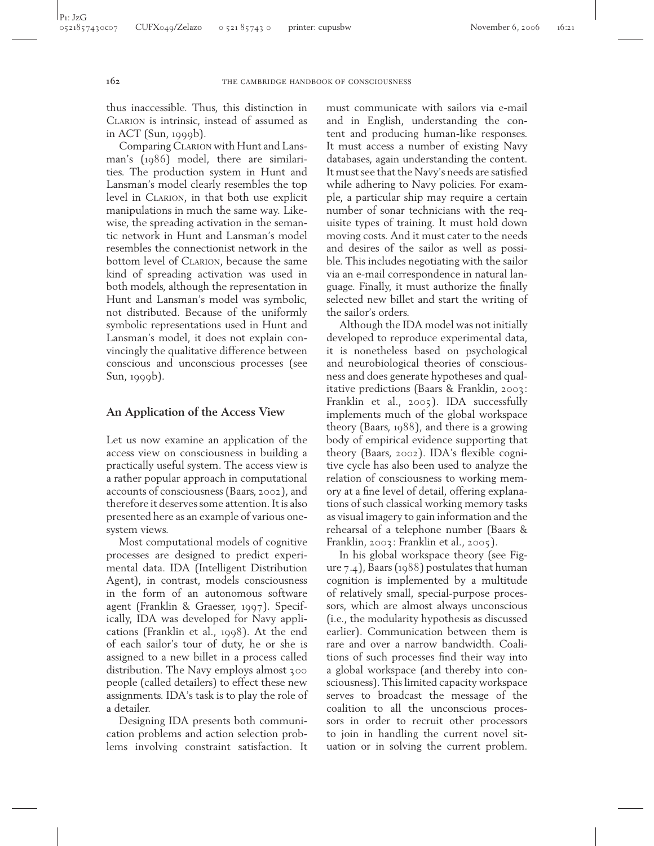thus inaccessible. Thus, this distinction in Clarion is intrinsic, instead of assumed as in ACT (Sun, 1999b).

Comparing Clarion with Hunt and Lansman's (1986) model, there are similarities. The production system in Hunt and Lansman's model clearly resembles the top level in Clarion, in that both use explicit manipulations in much the same way. Likewise, the spreading activation in the semantic network in Hunt and Lansman's model resembles the connectionist network in the bottom level of Clarion, because the same kind of spreading activation was used in both models, although the representation in Hunt and Lansman's model was symbolic, not distributed. Because of the uniformly symbolic representations used in Hunt and Lansman's model, it does not explain convincingly the qualitative difference between conscious and unconscious processes (see Sun, 1999b).

#### **An Application of the Access View**

Let us now examine an application of the access view on consciousness in building a practically useful system. The access view is a rather popular approach in computational accounts of consciousness (Baars, 2002), and therefore it deserves some attention. It is also presented here as an example of various onesystem views.

Most computational models of cognitive processes are designed to predict experimental data. IDA (Intelligent Distribution Agent), in contrast, models consciousness in the form of an autonomous software agent (Franklin & Graesser, 1997). Specifically, IDA was developed for Navy applications (Franklin et al., 1998). At the end of each sailor's tour of duty, he or she is assigned to a new billet in a process called distribution. The Navy employs almost 300 people (called detailers) to effect these new assignments. IDA's task is to play the role of a detailer.

Designing IDA presents both communication problems and action selection problems involving constraint satisfaction. It must communicate with sailors via e-mail and in English, understanding the content and producing human-like responses. It must access a number of existing Navy databases, again understanding the content. It must see that the Navy's needs are satisfied while adhering to Navy policies. For example, a particular ship may require a certain number of sonar technicians with the requisite types of training. It must hold down moving costs. And it must cater to the needs and desires of the sailor as well as possible. This includes negotiating with the sailor via an e-mail correspondence in natural language. Finally, it must authorize the finally selected new billet and start the writing of the sailor's orders.

Although the IDA model was not initially developed to reproduce experimental data, it is nonetheless based on psychological and neurobiological theories of consciousness and does generate hypotheses and qualitative predictions (Baars & Franklin, 2003 : Franklin et al., 2005). IDA successfully implements much of the global workspace theory (Baars, 1988), and there is a growing body of empirical evidence supporting that theory (Baars, 2002). IDA's flexible cognitive cycle has also been used to analyze the relation of consciousness to working memory at a fine level of detail, offering explanations of such classical working memory tasks as visual imagery to gain information and the rehearsal of a telephone number (Baars & Franklin, 2003: Franklin et al., 2005).

In his global workspace theory (see Figure 7.4), Baars (1988) postulates that human cognition is implemented by a multitude of relatively small, special-purpose processors, which are almost always unconscious (i.e., the modularity hypothesis as discussed earlier). Communication between them is rare and over a narrow bandwidth. Coalitions of such processes find their way into a global workspace (and thereby into consciousness). This limited capacity workspace serves to broadcast the message of the coalition to all the unconscious processors in order to recruit other processors to join in handling the current novel situation or in solving the current problem.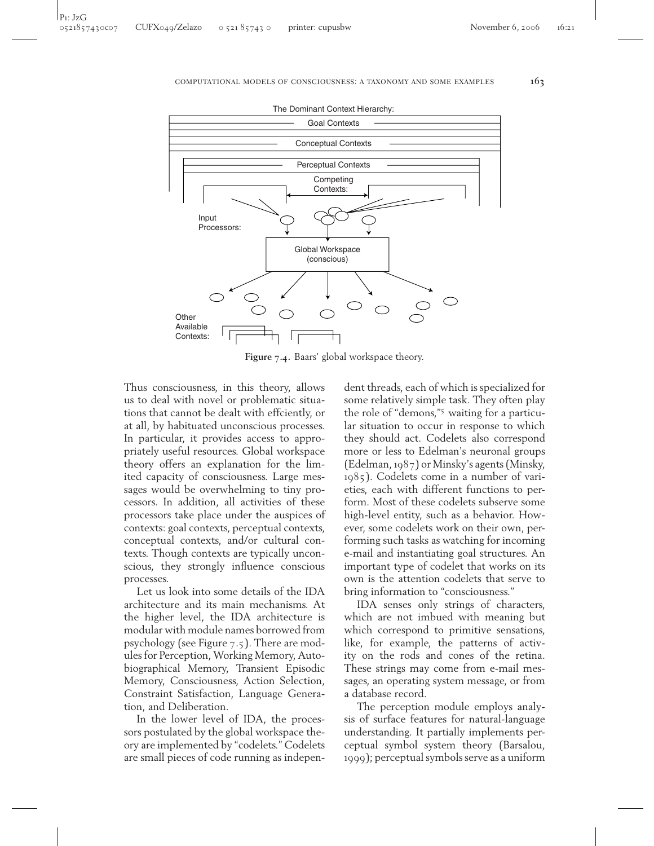

**Figure 7.4.** Baars' global workspace theory.

Thus consciousness, in this theory, allows us to deal with novel or problematic situations that cannot be dealt with effciently, or at all, by habituated unconscious processes. In particular, it provides access to appropriately useful resources. Global workspace theory offers an explanation for the limited capacity of consciousness. Large messages would be overwhelming to tiny processors. In addition, all activities of these processors take place under the auspices of contexts: goal contexts, perceptual contexts, conceptual contexts, and/or cultural contexts. Though contexts are typically unconscious, they strongly influence conscious processes.

Let us look into some details of the IDA architecture and its main mechanisms. At the higher level, the IDA architecture is modular with module names borrowed from psychology (see Figure 7.5 ). There are modules for Perception, Working Memory, Autobiographical Memory, Transient Episodic Memory, Consciousness, Action Selection, Constraint Satisfaction, Language Generation, and Deliberation.

In the lower level of IDA, the processors postulated by the global workspace theory are implemented by "codelets." Codelets are small pieces of code running as independent threads, each of which is specialized for some relatively simple task. They often play the role of "demons,"<sup>5</sup> waiting for a particular situation to occur in response to which they should act. Codelets also correspond more or less to Edelman's neuronal groups (Edelman, 1987) or Minsky's agents (Minsky, 1985 ). Codelets come in a number of varieties, each with different functions to perform. Most of these codelets subserve some high-level entity, such as a behavior. However, some codelets work on their own, performing such tasks as watching for incoming e-mail and instantiating goal structures. An important type of codelet that works on its own is the attention codelets that serve to bring information to "consciousness."

IDA senses only strings of characters, which are not imbued with meaning but which correspond to primitive sensations, like, for example, the patterns of activity on the rods and cones of the retina. These strings may come from e-mail messages, an operating system message, or from a database record.

The perception module employs analysis of surface features for natural-language understanding. It partially implements perceptual symbol system theory (Barsalou, 1999); perceptual symbols serve as a uniform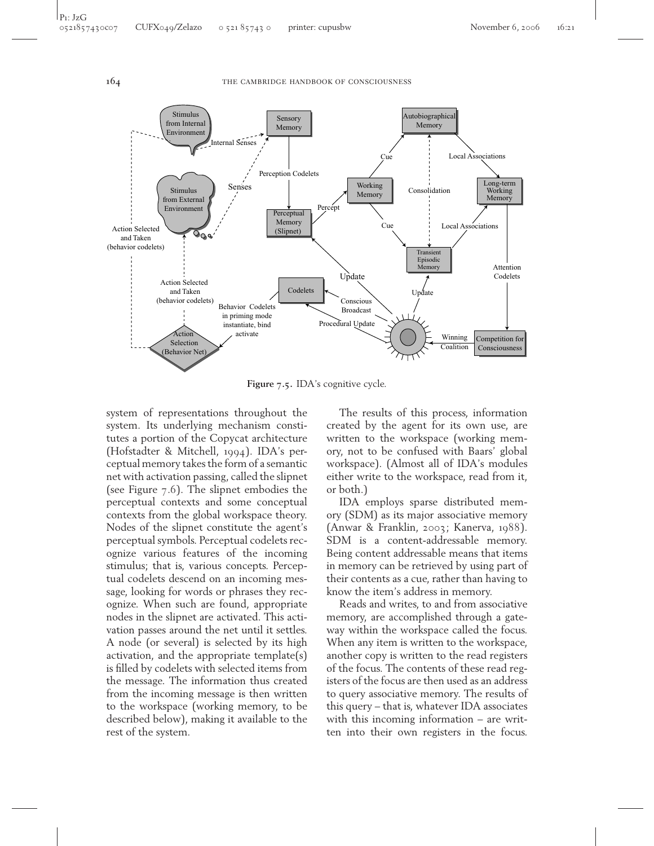



**Figure 7.5.** IDA's cognitive cycle.

system of representations throughout the system. Its underlying mechanism constitutes a portion of the Copycat architecture (Hofstadter & Mitchell, 1994). IDA's perceptual memory takes the form of a semantic net with activation passing, called the slipnet (see Figure 7.6). The slipnet embodies the perceptual contexts and some conceptual contexts from the global workspace theory. Nodes of the slipnet constitute the agent's perceptual symbols. Perceptual codelets recognize various features of the incoming stimulus; that is, various concepts. Perceptual codelets descend on an incoming message, looking for words or phrases they recognize. When such are found, appropriate nodes in the slipnet are activated. This activation passes around the net until it settles. A node (or several) is selected by its high activation, and the appropriate template(s) is filled by codelets with selected items from the message. The information thus created from the incoming message is then written to the workspace (working memory, to be described below), making it available to the rest of the system.

The results of this process, information created by the agent for its own use, are written to the workspace (working memory, not to be confused with Baars' global workspace). (Almost all of IDA's modules either write to the workspace, read from it, or both.)

IDA employs sparse distributed memory (SDM) as its major associative memory (Anwar & Franklin, 2003; Kanerva, 1988). SDM is a content-addressable memory. Being content addressable means that items in memory can be retrieved by using part of their contents as a cue, rather than having to know the item's address in memory.

Reads and writes, to and from associative memory, are accomplished through a gateway within the workspace called the focus. When any item is written to the workspace, another copy is written to the read registers of the focus. The contents of these read registers of the focus are then used as an address to query associative memory. The results of this query – that is, whatever IDA associates with this incoming information – are written into their own registers in the focus.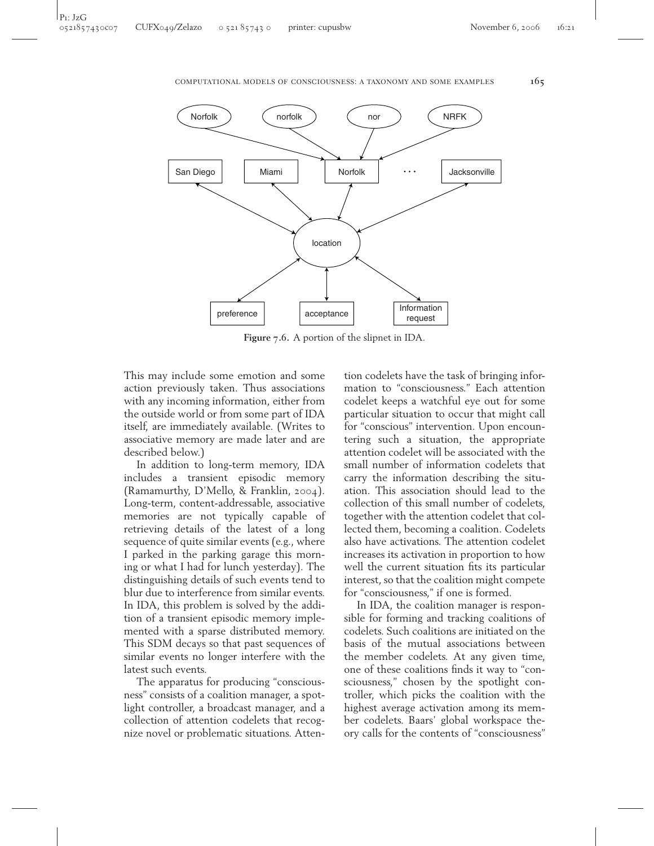

**Figure 7.6.** A portion of the slipnet in IDA.

This may include some emotion and some action previously taken. Thus associations with any incoming information, either from the outside world or from some part of IDA itself, are immediately available. (Writes to associative memory are made later and are described below.)

In addition to long-term memory, IDA includes a transient episodic memory (Ramamurthy, D'Mello, & Franklin, 2004). Long-term, content-addressable, associative memories are not typically capable of retrieving details of the latest of a long sequence of quite similar events (e.g., where I parked in the parking garage this morning or what I had for lunch yesterday). The distinguishing details of such events tend to blur due to interference from similar events. In IDA, this problem is solved by the addition of a transient episodic memory implemented with a sparse distributed memory. This SDM decays so that past sequences of similar events no longer interfere with the latest such events.

The apparatus for producing "consciousness" consists of a coalition manager, a spotlight controller, a broadcast manager, and a collection of attention codelets that recognize novel or problematic situations. Atten-

tion codelets have the task of bringing information to "consciousness." Each attention codelet keeps a watchful eye out for some particular situation to occur that might call for "conscious" intervention. Upon encountering such a situation, the appropriate attention codelet will be associated with the small number of information codelets that carry the information describing the situation. This association should lead to the collection of this small number of codelets, together with the attention codelet that collected them, becoming a coalition. Codelets also have activations. The attention codelet increases its activation in proportion to how well the current situation fits its particular interest, so that the coalition might compete for "consciousness," if one is formed.

In IDA, the coalition manager is responsible for forming and tracking coalitions of codelets. Such coalitions are initiated on the basis of the mutual associations between the member codelets. At any given time, one of these coalitions finds it way to "consciousness," chosen by the spotlight controller, which picks the coalition with the highest average activation among its member codelets. Baars' global workspace theory calls for the contents of "consciousness"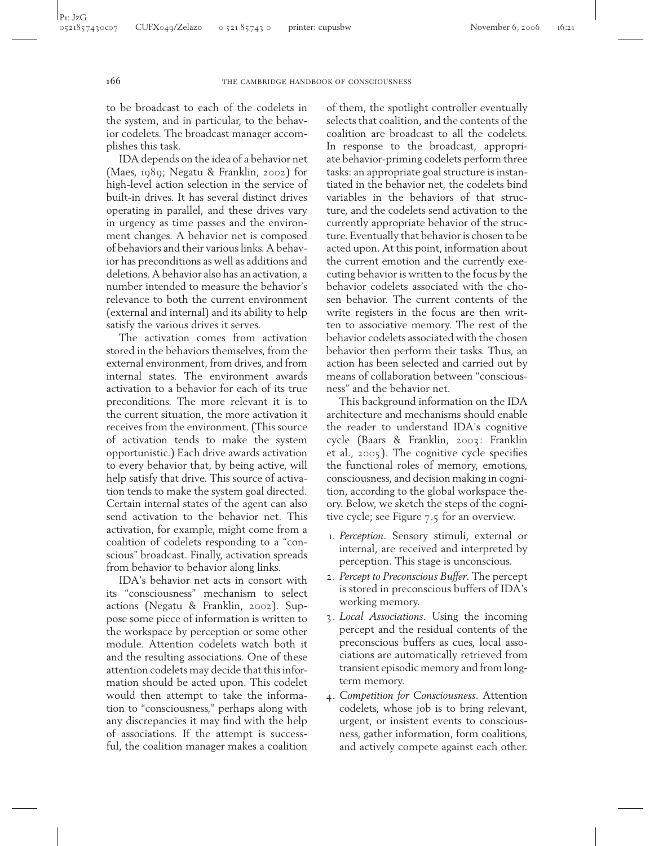to be broadcast to each of the codelets in the system, and in particular, to the behavior codelets. The broadcast manager accomplishes this task.

IDA depends on the idea of a behavior net (Maes, 1989; Negatu & Franklin, 2002) for high-level action selection in the service of built-in drives. It has several distinct drives operating in parallel, and these drives vary in urgency as time passes and the environment changes. A behavior net is composed of behaviors and their various links. A behavior has preconditions as well as additions and deletions. A behavior also has an activation, a number intended to measure the behavior's relevance to both the current environment (external and internal) and its ability to help satisfy the various drives it serves.

The activation comes from activation stored in the behaviors themselves, from the external environment, from drives, and from internal states. The environment awards activation to a behavior for each of its true preconditions. The more relevant it is to the current situation, the more activation it receives from the environment. (This source of activation tends to make the system opportunistic.) Each drive awards activation to every behavior that, by being active, will help satisfy that drive. This source of activation tends to make the system goal directed. Certain internal states of the agent can also send activation to the behavior net. This activation, for example, might come from a coalition of codelets responding to a "conscious" broadcast. Finally, activation spreads from behavior to behavior along links.

IDA's behavior net acts in consort with its "consciousness" mechanism to select actions (Negatu & Franklin, 2002). Suppose some piece of information is written to the workspace by perception or some other module. Attention codelets watch both it and the resulting associations. One of these attention codelets may decide that this information should be acted upon. This codelet would then attempt to take the information to "consciousness," perhaps along with any discrepancies it may find with the help of associations. If the attempt is successful, the coalition manager makes a coalition

of them, the spotlight controller eventually selects that coalition, and the contents of the coalition are broadcast to all the codelets. In response to the broadcast, appropriate behavior-priming codelets perform three tasks: an appropriate goal structure is instantiated in the behavior net, the codelets bind variables in the behaviors of that structure, and the codelets send activation to the currently appropriate behavior of the structure. Eventually that behavior is chosen to be acted upon. At this point, information about the current emotion and the currently executing behavior is written to the focus by the behavior codelets associated with the chosen behavior. The current contents of the write registers in the focus are then written to associative memory. The rest of the behavior codelets associated with the chosen behavior then perform their tasks. Thus, an action has been selected and carried out by means of collaboration between "consciousness" and the behavior net.

This background information on the IDA architecture and mechanisms should enable the reader to understand IDA's cognitive cycle (Baars & Franklin, 2003: Franklin et al., 2005 ). The cognitive cycle specifies the functional roles of memory, emotions, consciousness, and decision making in cognition, according to the global workspace theory. Below, we sketch the steps of the cognitive cycle; see Figure 7.5 for an overview.

- 1. *Perception*. Sensory stimuli, external or internal, are received and interpreted by perception. This stage is unconscious.
- 2. *Percept to Preconscious Buffer*. The percept is stored in preconscious buffers of IDA's working memory.
- 3 . *Local Associations*. Using the incoming percept and the residual contents of the preconscious buffers as cues, local associations are automatically retrieved from transient episodic memory and from longterm memory.
- 4. *Competition for Consciousness*. Attention codelets, whose job is to bring relevant, urgent, or insistent events to consciousness, gather information, form coalitions, and actively compete against each other.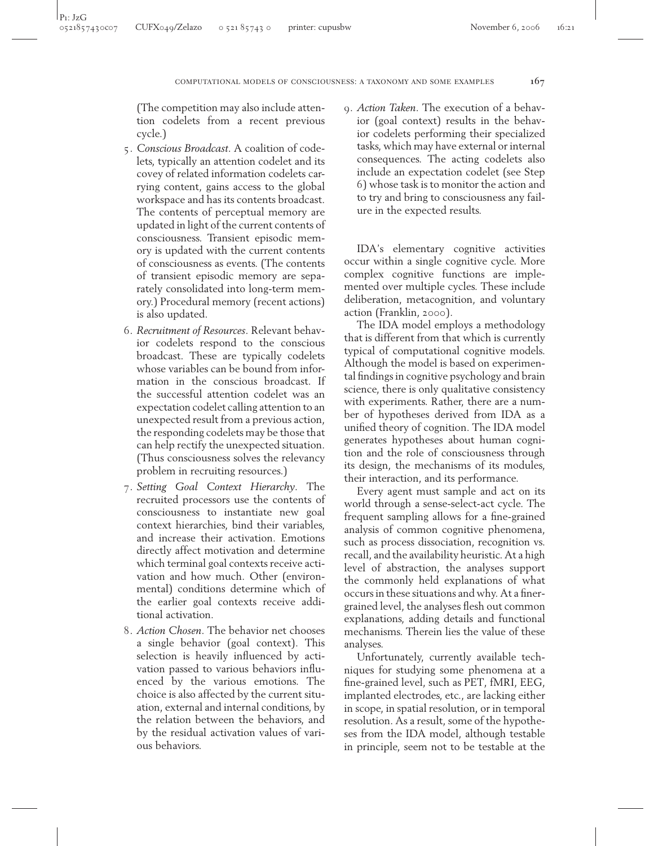(The competition may also include attention codelets from a recent previous cycle.)

- 5 . *Conscious Broadcast*. A coalition of codelets, typically an attention codelet and its covey of related information codelets carrying content, gains access to the global workspace and has its contents broadcast. The contents of perceptual memory are updated in light of the current contents of consciousness. Transient episodic memory is updated with the current contents of consciousness as events. (The contents of transient episodic memory are separately consolidated into long-term memory.) Procedural memory (recent actions) is also updated.
- 6. *Recruitment of Resources*. Relevant behavior codelets respond to the conscious broadcast. These are typically codelets whose variables can be bound from information in the conscious broadcast. If the successful attention codelet was an expectation codelet calling attention to an unexpected result from a previous action, the responding codelets may be those that can help rectify the unexpected situation. (Thus consciousness solves the relevancy problem in recruiting resources.)
- 7. *Setting Goal Context Hierarchy*. The recruited processors use the contents of consciousness to instantiate new goal context hierarchies, bind their variables, and increase their activation. Emotions directly affect motivation and determine which terminal goal contexts receive activation and how much. Other (environmental) conditions determine which of the earlier goal contexts receive additional activation.
- 8. *Action Chosen*. The behavior net chooses a single behavior (goal context). This selection is heavily influenced by activation passed to various behaviors influenced by the various emotions. The choice is also affected by the current situation, external and internal conditions, by the relation between the behaviors, and by the residual activation values of various behaviors.

9. *Action Taken*. The execution of a behavior (goal context) results in the behavior codelets performing their specialized tasks, which may have external or internal consequences. The acting codelets also include an expectation codelet (see Step 6) whose task is to monitor the action and to try and bring to consciousness any failure in the expected results.

IDA's elementary cognitive activities occur within a single cognitive cycle. More complex cognitive functions are implemented over multiple cycles. These include deliberation, metacognition, and voluntary action (Franklin, 2000).

The IDA model employs a methodology that is different from that which is currently typical of computational cognitive models. Although the model is based on experimental findings in cognitive psychology and brain science, there is only qualitative consistency with experiments. Rather, there are a number of hypotheses derived from IDA as a unified theory of cognition. The IDA model generates hypotheses about human cognition and the role of consciousness through its design, the mechanisms of its modules, their interaction, and its performance.

Every agent must sample and act on its world through a sense-select-act cycle. The frequent sampling allows for a fine-grained analysis of common cognitive phenomena, such as process dissociation, recognition vs. recall, and the availability heuristic. At a high level of abstraction, the analyses support the commonly held explanations of what occurs in these situations and why. At a finergrained level, the analyses flesh out common explanations, adding details and functional mechanisms. Therein lies the value of these analyses.

Unfortunately, currently available techniques for studying some phenomena at a fine-grained level, such as PET, fMRI, EEG, implanted electrodes, etc., are lacking either in scope, in spatial resolution, or in temporal resolution. As a result, some of the hypotheses from the IDA model, although testable in principle, seem not to be testable at the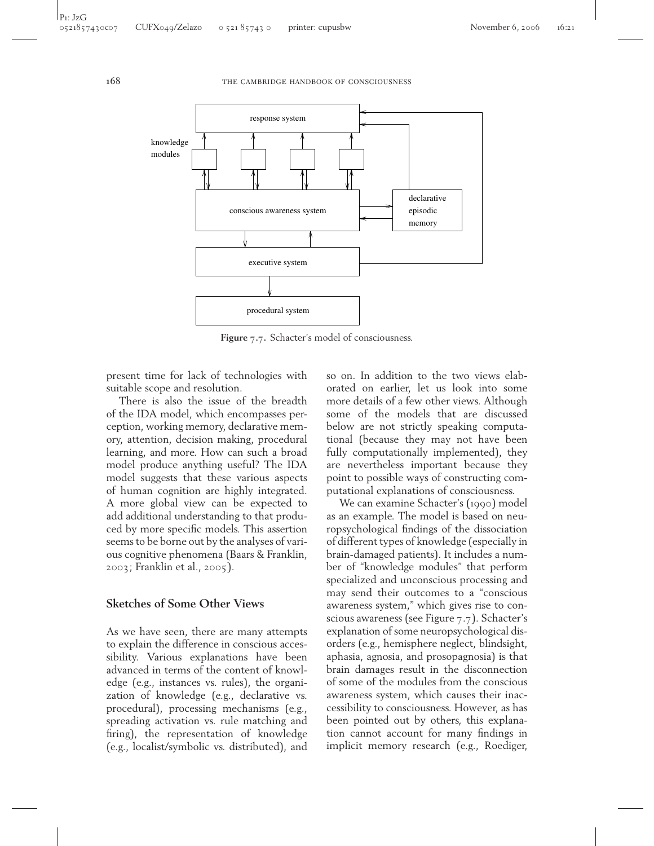

**Figure 7.7.** Schacter's model of consciousness.

present time for lack of technologies with suitable scope and resolution.

There is also the issue of the breadth of the IDA model, which encompasses perception, working memory, declarative memory, attention, decision making, procedural learning, and more. How can such a broad model produce anything useful? The IDA model suggests that these various aspects of human cognition are highly integrated. A more global view can be expected to add additional understanding to that produced by more specific models. This assertion seems to be borne out by the analyses of various cognitive phenomena (Baars & Franklin, 2003 ; Franklin et al., 2005 ).

#### **Sketches of Some Other Views**

As we have seen, there are many attempts to explain the difference in conscious accessibility. Various explanations have been advanced in terms of the content of knowledge (e.g., instances vs. rules), the organization of knowledge (e.g., declarative vs. procedural), processing mechanisms (e.g., spreading activation vs. rule matching and firing), the representation of knowledge (e.g., localist/symbolic vs. distributed), and

so on. In addition to the two views elaborated on earlier, let us look into some more details of a few other views. Although some of the models that are discussed below are not strictly speaking computational (because they may not have been fully computationally implemented), they are nevertheless important because they point to possible ways of constructing computational explanations of consciousness.

We can examine Schacter's (1990) model as an example. The model is based on neuropsychological findings of the dissociation of different types of knowledge (especially in brain-damaged patients). It includes a number of "knowledge modules" that perform specialized and unconscious processing and may send their outcomes to a "conscious awareness system," which gives rise to conscious awareness (see Figure 7.7). Schacter's explanation of some neuropsychological disorders (e.g., hemisphere neglect, blindsight, aphasia, agnosia, and prosopagnosia) is that brain damages result in the disconnection of some of the modules from the conscious awareness system, which causes their inaccessibility to consciousness. However, as has been pointed out by others, this explanation cannot account for many findings in implicit memory research (e.g., Roediger,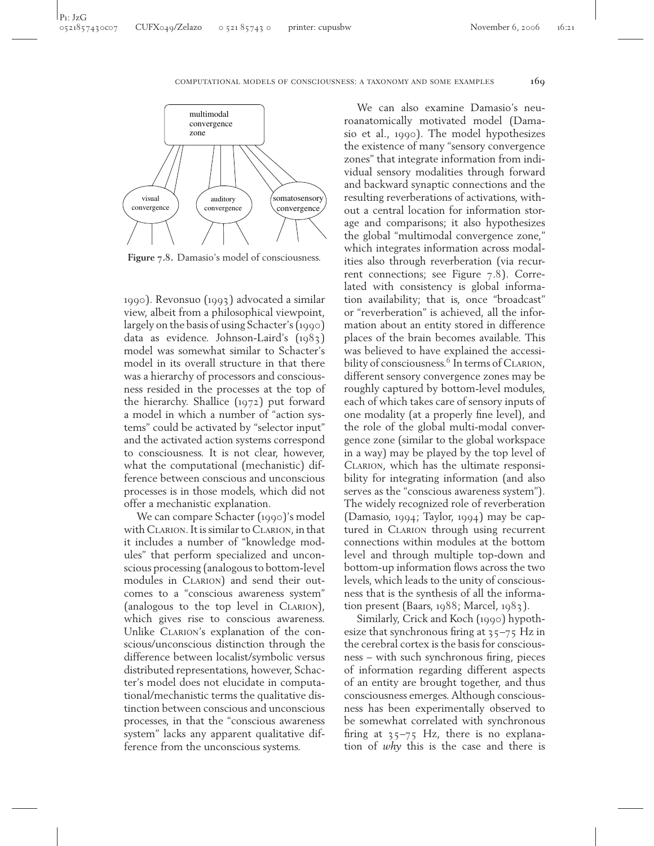

**Figure 7.8.** Damasio's model of consciousness.

1990). Revonsuo (1993 ) advocated a similar view, albeit from a philosophical viewpoint, largely on the basis of using Schacter's (1990) data as evidence. Johnson-Laird's (1983 ) model was somewhat similar to Schacter's model in its overall structure in that there was a hierarchy of processors and consciousness resided in the processes at the top of the hierarchy. Shallice (1972) put forward a model in which a number of "action systems" could be activated by "selector input" and the activated action systems correspond to consciousness. It is not clear, however, what the computational (mechanistic) difference between conscious and unconscious processes is in those models, which did not offer a mechanistic explanation.

We can compare Schacter (1990)'s model with Clarion. It is similar to Clarion, in that it includes a number of "knowledge modules" that perform specialized and unconscious processing (analogous to bottom-level modules in Clarion) and send their outcomes to a "conscious awareness system" (analogous to the top level in Clarion), which gives rise to conscious awareness. Unlike CLARION's explanation of the conscious/unconscious distinction through the difference between localist/symbolic versus distributed representations, however, Schacter's model does not elucidate in computational/mechanistic terms the qualitative distinction between conscious and unconscious processes, in that the "conscious awareness system" lacks any apparent qualitative difference from the unconscious systems.

We can also examine Damasio's neuroanatomically motivated model (Damasio et al., 1990). The model hypothesizes the existence of many "sensory convergence zones" that integrate information from individual sensory modalities through forward and backward synaptic connections and the resulting reverberations of activations, without a central location for information storage and comparisons; it also hypothesizes the global "multimodal convergence zone," which integrates information across modalities also through reverberation (via recurrent connections; see Figure 7.8). Correlated with consistency is global information availability; that is, once "broadcast" or "reverberation" is achieved, all the information about an entity stored in difference places of the brain becomes available. This was believed to have explained the accessibility of consciousness.<sup>6</sup> In terms of CLARION, different sensory convergence zones may be roughly captured by bottom-level modules, each of which takes care of sensory inputs of one modality (at a properly fine level), and the role of the global multi-modal convergence zone (similar to the global workspace in a way) may be played by the top level of Clarion, which has the ultimate responsibility for integrating information (and also serves as the "conscious awareness system"). The widely recognized role of reverberation (Damasio, 1994; Taylor, 1994) may be captured in Clarion through using recurrent connections within modules at the bottom level and through multiple top-down and bottom-up information flows across the two levels, which leads to the unity of consciousness that is the synthesis of all the information present (Baars,  $1988$ ; Marcel,  $1983$ ).

Similarly, Crick and Koch (1990) hypothesize that synchronous firing at  $35-75$  Hz in the cerebral cortex is the basis for consciousness – with such synchronous firing, pieces of information regarding different aspects of an entity are brought together, and thus consciousness emerges. Although consciousness has been experimentally observed to be somewhat correlated with synchronous firing at  $35-75$  Hz, there is no explanation of *why* this is the case and there is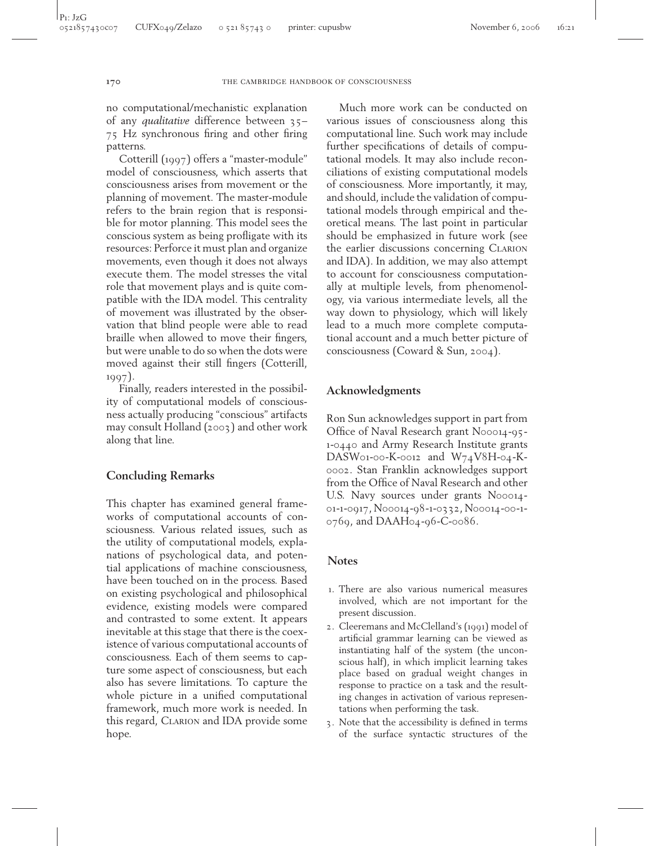no computational/mechanistic explanation of any *qualitative* difference between 35– 75 Hz synchronous firing and other firing patterns.

Cotterill (1997) offers a "master-module" model of consciousness, which asserts that consciousness arises from movement or the planning of movement. The master-module refers to the brain region that is responsible for motor planning. This model sees the conscious system as being profligate with its resources: Perforce it must plan and organize movements, even though it does not always execute them. The model stresses the vital role that movement plays and is quite compatible with the IDA model. This centrality of movement was illustrated by the observation that blind people were able to read braille when allowed to move their fingers, but were unable to do so when the dots were moved against their still fingers (Cotterill, 1997).

Finally, readers interested in the possibility of computational models of consciousness actually producing "conscious" artifacts may consult Holland (2003 ) and other work along that line.

#### **Concluding Remarks**

This chapter has examined general frameworks of computational accounts of consciousness. Various related issues, such as the utility of computational models, explanations of psychological data, and potential applications of machine consciousness, have been touched on in the process. Based on existing psychological and philosophical evidence, existing models were compared and contrasted to some extent. It appears inevitable at this stage that there is the coexistence of various computational accounts of consciousness. Each of them seems to capture some aspect of consciousness, but each also has severe limitations. To capture the whole picture in a unified computational framework, much more work is needed. In this regard, Clarion and IDA provide some hope.

Much more work can be conducted on various issues of consciousness along this computational line. Such work may include further specifications of details of computational models. It may also include reconciliations of existing computational models of consciousness. More importantly, it may, and should, include the validation of computational models through empirical and theoretical means. The last point in particular should be emphasized in future work (see the earlier discussions concerning Clarion and IDA). In addition, we may also attempt to account for consciousness computationally at multiple levels, from phenomenology, via various intermediate levels, all the way down to physiology, which will likely lead to a much more complete computational account and a much better picture of consciousness (Coward & Sun, 2004).

#### **Acknowledgments**

Ron Sun acknowledges support in part from Office of Naval Research grant N00014-95-1-0440 and Army Research Institute grants DASW01-00-K-0012 and W74V8H-04-K-0002. Stan Franklin acknowledges support from the Office of Naval Research and other U.S. Navy sources under grants N00014-01-1-0917, N00014-98-1-0332, N00014-00-1- 0769, and DAAH04-96-C-0086.

#### **Notes**

- 1. There are also various numerical measures involved, which are not important for the present discussion.
- 2. Cleeremans and McClelland's (1991) model of artificial grammar learning can be viewed as instantiating half of the system (the unconscious half), in which implicit learning takes place based on gradual weight changes in response to practice on a task and the resulting changes in activation of various representations when performing the task.
- Note that the accessibility is defined in terms of the surface syntactic structures of the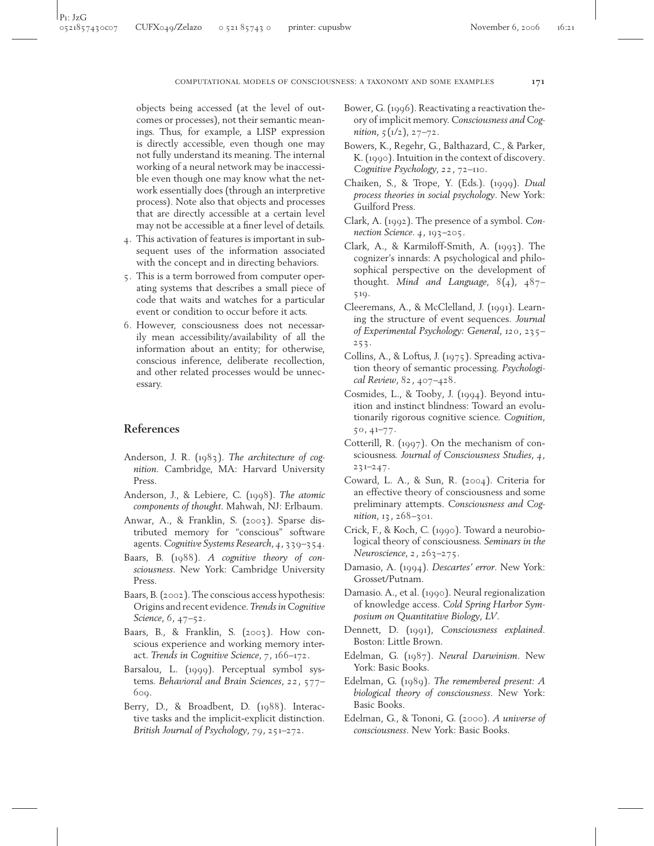objects being accessed (at the level of outcomes or processes), not their semantic meanings. Thus, for example, a LISP expression is directly accessible, even though one may not fully understand its meaning. The internal working of a neural network may be inaccessible even though one may know what the network essentially does (through an interpretive process). Note also that objects and processes that are directly accessible at a certain level may not be accessible at a finer level of details.

- 4. This activation of features is important in subsequent uses of the information associated with the concept and in directing behaviors.
- 5 . This is a term borrowed from computer operating systems that describes a small piece of code that waits and watches for a particular event or condition to occur before it acts.
- 6. However, consciousness does not necessarily mean accessibility/availability of all the information about an entity; for otherwise, conscious inference, deliberate recollection, and other related processes would be unnecessary.

#### **References**

- Anderson, J. R. (1983 ). *The architecture of cognition*. Cambridge, MA: Harvard University Press.
- Anderson, J., & Lebiere, C. (1998). *The atomic components of thought*. Mahwah, NJ: Erlbaum.
- Anwar, A., & Franklin, S. (2003 ). Sparse distributed memory for "conscious" software agents. *Cognitive Systems Research*, *4*, 339–354.
- Baars, B. (1988). *A cognitive theory of consciousness*. New York: Cambridge University Press.
- Baars, B. (2002). The conscious access hypothesis: Origins and recent evidence. *Trends in Cognitive Science*, *6*, 47–52.
- Baars, B., & Franklin, S. (2003). How conscious experience and working memory interact. *Trends in Cognitive Science*, *7*, 166–172.
- Barsalou, L. (1999). Perceptual symbol systems. *Behavioral and Brain Sciences*, *2 2* , 577– 609.
- Berry, D., & Broadbent, D. (1988). Interactive tasks and the implicit-explicit distinction. *British Journal of Psychology*, *79*, 251–272.
- Bower, G. (1996). Reactivating a reactivation theory of implicit memory. *Consciousness and Cognition*,  $5(1/2)$ ,  $27-72$ .
- Bowers, K., Regehr, G., Balthazard, C., & Parker, K. (1990). Intuition in the context of discovery. *Cognitive Psychology*, *2 2* , 72–110.
- Chaiken, S., & Trope, Y. (Eds.). (1999). *Dual process theories in social psychology*. New York: Guilford Press.
- Clark, A. (1992). The presence of a symbol. *Connection Science*. *4*, 193–205 .
- Clark, A., & Karmiloff-Smith, A. (1993 ). The cognizer's innards: A psychological and philosophical perspective on the development of thought. *Mind and Language*, *8*(4), 487– 519.
- Cleeremans, A., & McClelland, J. (1991). Learning the structure of event sequences. *Journal of Experimental Psychology: General*, *120*, 235– 253 .
- Collins, A., & Loftus, J. (1975 ). Spreading activation theory of semantic processing. *Psychological Review*, *82* , 407–428.
- Cosmides, L., & Tooby, J. (1994). Beyond intuition and instinct blindness: Toward an evolutionarily rigorous cognitive science. *Cognition*, *50*, 41–77.
- Cotterill, R. (1997). On the mechanism of consciousness. *Journal of Consciousness Studies*, *4*,  $231 - 247$ .
- Coward, L. A., & Sun, R. (2004). Criteria for an effective theory of consciousness and some preliminary attempts. *Consciousness and Cognition*, *13*, *268*–301.
- Crick, F., & Koch, C. (1990). Toward a neurobiological theory of consciousness. *Seminars in the Neuroscience*, *2*, *2*63–275.
- Damasio, A. (1994). *Descartes' error*. New York: Grosset/Putnam.
- Damasio. A., et al. (1990). Neural regionalization of knowledge access. *Cold Spring Harbor Symposium on Quantitative Biology*, *LV*.
- Dennett, D. (1991), *Consciousness explained*. Boston: Little Brown.
- Edelman, G. (1987). *Neural Darwinism*. New York: Basic Books.
- Edelman, G. (1989). *The remembered present: A biological theory of consciousness*. New York: Basic Books.
- Edelman, G., & Tononi, G. (2000). *A universe of consciousness*. New York: Basic Books.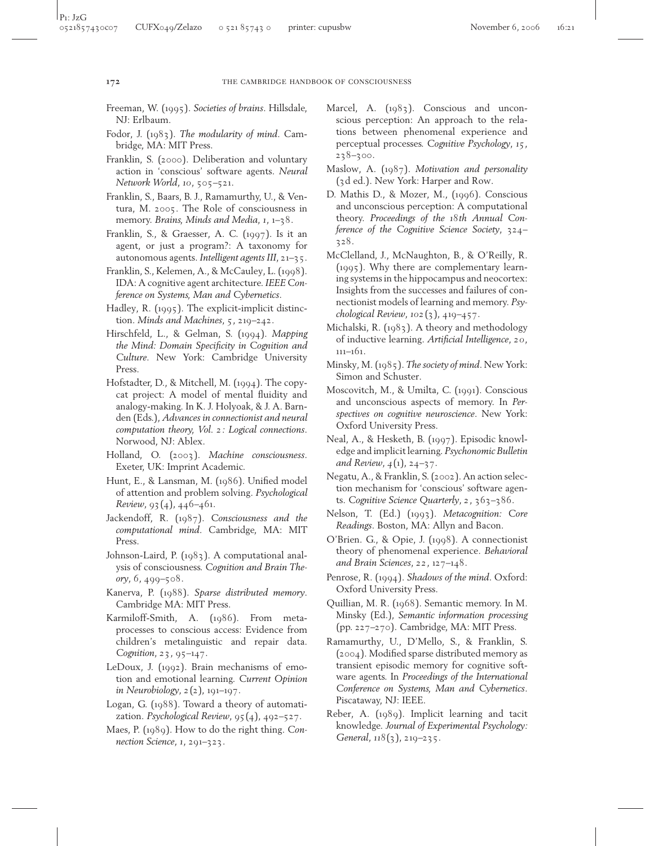P1: JzG<br>0521857430007 CUFX049/Zelazo 0 521 85743 0 printer: cupusbw November 6, 2006 16:21

- Freeman, W. (1995 ). *Societies of brains*. Hillsdale, NJ: Erlbaum.
- Fodor, J. (1983 ). *The modularity of mind*. Cambridge, MA: MIT Press.
- Franklin, S. (2000). Deliberation and voluntary action in 'conscious' software agents. *Neural Network World*, *10*, 505–521.
- Franklin, S., Baars, B. J., Ramamurthy, U., & Ventura, M. 2005 . The Role of consciousness in memory. *Brains, Minds and Media*, *1*, 1–38.
- Franklin, S., & Graesser, A. C. (1997). Is it an agent, or just a program?: A taxonomy for autonomous agents. *Intelligent agents III*, 21–35 .
- Franklin, S., Kelemen, A., & McCauley, L. (1998). IDA: A cognitive agent architecture. *IEEE Conference on Systems, Man and Cybernetics*.
- Hadley, R. (1995). The explicit-implicit distinction. *Minds and Machines*, *5* , 219–242.
- Hirschfeld, L., & Gelman, S. (1994). *Mapping the Mind: Domain Specificity in Cognition and Culture*. New York: Cambridge University Press.
- Hofstadter, D., & Mitchell, M. (1994). The copycat project: A model of mental fluidity and analogy-making. In K. J. Holyoak, & J. A. Barnden (Eds.), *Advances in connectionist and neural computation theory, Vol. 2 : Logical connections*. Norwood, NJ: Ablex.
- Holland, O. (2003 ). *Machine consciousness*. Exeter, UK: Imprint Academic.
- Hunt, E., & Lansman, M. (1986). Unified model of attention and problem solving. *Psychological Review*, *93* (4), 446–461.
- Jackendoff, R. (1987). *Consciousness and the computational mind*. Cambridge, MA: MIT Press.
- Johnson-Laird, P. (1983 ). A computational analysis of consciousness. *Cognition and Brain Theory*, *6*, 499–508.
- Kanerva, P. (1988). *Sparse distributed memory*. Cambridge MA: MIT Press.
- Karmiloff-Smith, A. (1986). From metaprocesses to conscious access: Evidence from children's metalinguistic and repair data. *Cognition*, *2 3* , 95–147.
- LeDoux, J. (1992). Brain mechanisms of emotion and emotional learning. *Current Opinion in Neurobiology*, *2* (2), 191–197.
- Logan, G. (1988). Toward a theory of automatization. *Psychological Review*, *95* (4), 492–527.
- Maes, P. (1989). How to do the right thing. *Connection Science*, *1*, 291–323 .
- Marcel, A.  $(1983)$ . Conscious and unconscious perception: An approach to the relations between phenomenal experience and perceptual processes. *Cognitive Psychology*, *15* , 238–300.
- Maslow, A. (1987). *Motivation and personality* (3d ed.). New York: Harper and Row.
- D. Mathis D., & Mozer, M., (1996). Conscious and unconscious perception: A computational theory. *Proceedings of the 18th Annual Conference of the Cognitive Science Society*, 324– 328.
- McClelland, J., McNaughton, B., & O'Reilly, R. (1995 ). Why there are complementary learning systems in the hippocampus and neocortex: Insights from the successes and failures of connectionist models of learning and memory. *Psychological Review*, *102* (3 ), 419–457.
- Michalski, R. (1983 ). A theory and methodology of inductive learning. *Artificial Intelligence*, *2 0*, 111–161.
- Minsky, M. (1985 ). *The society of mind*. New York: Simon and Schuster.
- Moscovitch, M., & Umilta, C. (1991). Conscious and unconscious aspects of memory. In *Perspectives on cognitive neuroscience*. New York: Oxford University Press.
- Neal, A., & Hesketh, B. (1997). Episodic knowledge and implicit learning. *Psychonomic Bulletin and Review*, *4*(1), 24–37.
- Negatu, A., & Franklin, S. (2002). An action selection mechanism for 'conscious' software agents. *Cognitive Science Quarterly*, *2* , 363–386.
- Nelson, T. (Ed.) (1993 ). *Metacognition: Core Readings*. Boston, MA: Allyn and Bacon.
- O'Brien. G., & Opie, J. (1998). A connectionist theory of phenomenal experience. *Behavioral and Brain Sciences*, *2 2* , 127–148.
- Penrose, R. (1994). *Shadows of the mind*. Oxford: Oxford University Press.
- Quillian, M. R. (1968). Semantic memory. In M. Minsky (Ed.), *Semantic information processing* (pp. 227–270). Cambridge, MA: MIT Press.
- Ramamurthy, U., D'Mello, S., & Franklin, S. (2004). Modified sparse distributed memory as transient episodic memory for cognitive software agents. In *Proceedings of the International Conference on Systems, Man and Cybernetics*. Piscataway, NJ: IEEE.
- Reber, A. (1989). Implicit learning and tacit knowledge. *Journal of Experimental Psychology: General*, *118*(3 ), 219–235 .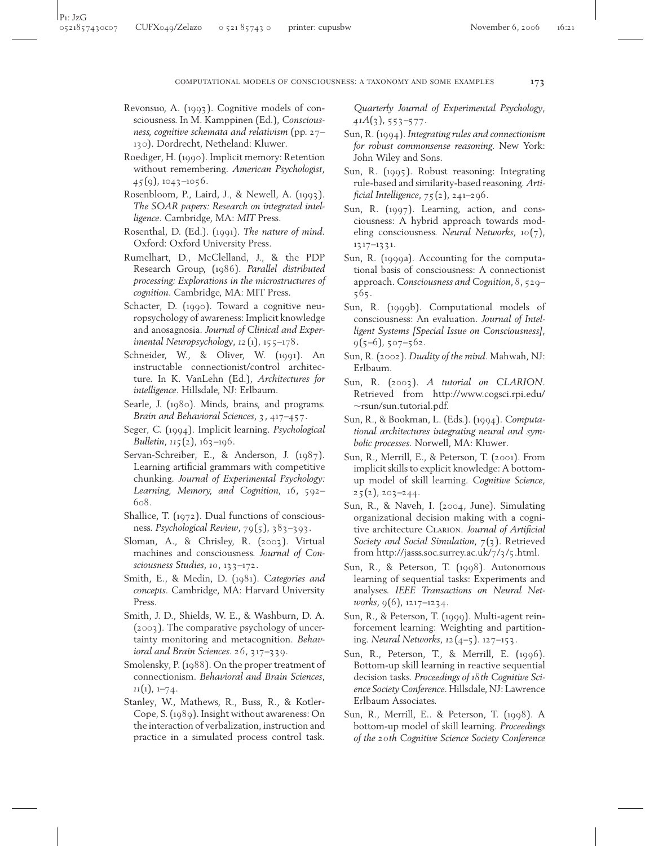- Revonsuo, A. (1993 ). Cognitive models of consciousness. In M. Kamppinen (Ed.), *Consciousness, cognitive schemata and relativism* (pp. 27– 130). Dordrecht, Netheland: Kluwer.
- Roediger, H. (1990). Implicit memory: Retention without remembering. *American Psychologist*, *45* (9), 1043–1056.
- Rosenbloom, P., Laird, J., & Newell, A. (1993 ). *The SOAR papers: Research on integrated intelligence*. Cambridge, MA: *MIT* Press.
- Rosenthal, D. (Ed.). (1991). *The nature of mind*. Oxford: Oxford University Press.
- Rumelhart, D., McClelland, J., & the PDP Research Group, (1986). *Parallel distributed processing: Explorations in the microstructures of cognition*. Cambridge, MA: MIT Press.
- Schacter, D. (1990). Toward a cognitive neuropsychology of awareness: Implicit knowledge and anosagnosia. *Journal of Clinical and Experimental Neuropsychology*, *12* (1), 155–178.
- Schneider, W., & Oliver, W. (1991). An instructable connectionist/control architecture. In K. VanLehn (Ed.), *Architectures for intelligence*. Hillsdale, NJ: Erlbaum.
- Searle, J. (1980). Minds, brains, and programs. *Brain and Behavioral Sciences*, *3* , 417–457.
- Seger, C. (1994). Implicit learning. *Psychological Bulletin*,  $115(2)$ ,  $163-196$ .
- Servan-Schreiber, E., & Anderson, J. (1987). Learning artificial grammars with competitive chunking. *Journal of Experimental Psychology: Learning, Memory, and Cognition*, *16*, 592– 608.
- Shallice, T. (1972). Dual functions of consciousness. *Psychological Review*, *79*(5 ), 383–393 .
- Sloman, A., & Chrisley, R. (2003). Virtual machines and consciousness. *Journal of Consciousness Studies*, *10*, 133–172.
- Smith, E., & Medin, D. (1981). *Categories and concepts*. Cambridge, MA: Harvard University Press.
- Smith, J. D., Shields, W. E., & Washburn, D. A. (2003 ). The comparative psychology of uncertainty monitoring and metacognition. *Behavioral and Brain Sciences*. *2 6*, 317–339.
- Smolensky, P. (1988). On the proper treatment of connectionism. *Behavioral and Brain Sciences*, *11*(1), 1–74.
- Stanley, W., Mathews, R., Buss, R., & Kotler-Cope, S. (1989). Insight without awareness: On the interaction of verbalization, instruction and practice in a simulated process control task.

*Quarterly Journal of Experimental Psychology*, *41A*(3 ), 553–577.

- Sun, R. (1994). *Integrating rules and connectionism for robust commonsense reasoning*. New York: John Wiley and Sons.
- Sun, R. (1995 ). Robust reasoning: Integrating rule-based and similarity-based reasoning. *Artificial Intelligence*, *75* (2), 241–296.
- Sun, R. (1997). Learning, action, and consciousness: A hybrid approach towards modeling consciousness. *Neural Networks*, *10*(7), 1317–1331.
- Sun, R. (1999a). Accounting for the computational basis of consciousness: A connectionist approach. *Consciousness and Cognition*, *8*, 529– 565 .
- Sun, R. (1999b). Computational models of consciousness: An evaluation. *Journal of Intelligent Systems [Special Issue on Consciousness]*, *9*(5–6), 507–562.
- Sun, R. (2002). *Duality of the mind*. Mahwah, NJ: Erlbaum.
- Sun, R. (2003 ). *A tutorial on CLARION*. Retrieved from http://www.cogsci.rpi.edu/ ∼rsun/sun.tutorial.pdf.
- Sun, R., & Bookman, L. (Eds.). (1994). *Computational architectures integrating neural and symbolic processes*. Norwell, MA: Kluwer.
- Sun, R., Merrill, E., & Peterson, T. (2001). From implicit skills to explicit knowledge: A bottomup model of skill learning. *Cognitive Science*,  $25(2)$ ,  $203-244$ .
- Sun, R., & Naveh, I. (2004, June). Simulating organizational decision making with a cognitive architecture Clarion. *Journal of Artificial Society and Social Simulation*, *7*(3 ). Retrieved from http://jasss.soc.surrey.ac.uk/7/3 /5 .html.
- Sun, R., & Peterson, T. (1998). Autonomous learning of sequential tasks: Experiments and analyses. *IEEE Transactions on Neural Networks*, *9*(6), 1217–1234.
- Sun, R., & Peterson, T. (1999). Multi-agent reinforcement learning: Weighting and partitioning. *Neural Networks*, *12* (4–5 ). 127–153 .
- Sun, R., Peterson, T., & Merrill, E. (1996). Bottom-up skill learning in reactive sequential decision tasks. *Proceedings of 18th Cognitive Science Society Conference*. Hillsdale, NJ: Lawrence Erlbaum Associates.
- Sun, R., Merrill, E.. & Peterson, T. (1998). A bottom-up model of skill learning. *Proceedings of the 2 0th Cognitive Science Society Conference*